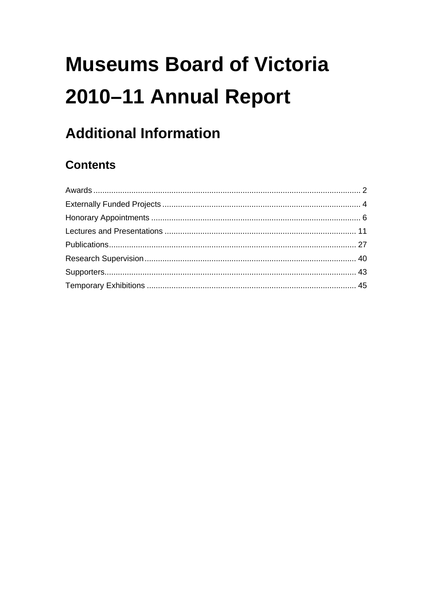# **Museums Board of Victoria** 2010-11 Annual Report

## **Additional Information**

## **Contents**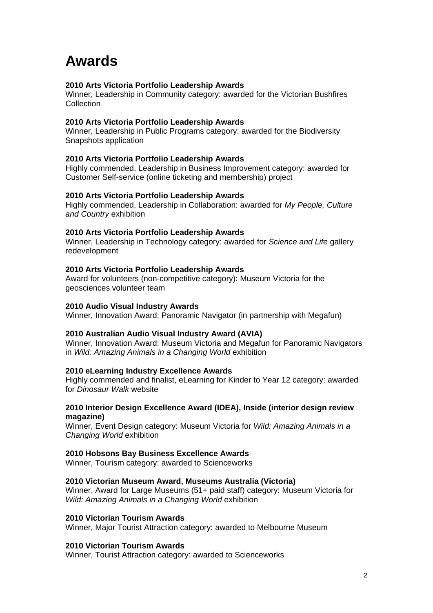## <span id="page-1-0"></span>**Awards**

### **2010 Arts Victoria Portfolio Leadership Awards**

Winner, Leadership in Community category: awarded for the Victorian Bushfires Collection

### **2010 Arts Victoria Portfolio Leadership Awards**

Winner, Leadership in Public Programs category: awarded for the Biodiversity Snapshots application

### **2010 Arts Victoria Portfolio Leadership Awards**

Highly commended, Leadership in Business Improvement category: awarded for Customer Self-service (online ticketing and membership) project

### **2010 Arts Victoria Portfolio Leadership Awards**

Highly commended, Leadership in Collaboration: awarded for *My People, Culture and Country* exhibition

### **2010 Arts Victoria Portfolio Leadership Awards**

Winner, Leadership in Technology category: awarded for *Science and Life* gallery redevelopment

### **2010 Arts Victoria Portfolio Leadership Awards**

Award for volunteers (non-competitive category): Museum Victoria for the geosciences volunteer team

### **2010 Audio Visual Industry Awards**

Winner, Innovation Award: Panoramic Navigator (in partnership with Megafun)

### **2010 Australian Audio Visual Industry Award (AVIA)**

Winner, Innovation Award: Museum Victoria and Megafun for Panoramic Navigators in *Wild: Amazing Animals in a Changing World* exhibition

### **2010 eLearning Industry Excellence Awards**

Highly commended and finalist, eLearning for Kinder to Year 12 category: awarded for *Dinosaur Walk* website

### **2010 Interior Design Excellence Award (IDEA), Inside (interior design review magazine)**

Winner, Event Design category: Museum Victoria for *Wild: Amazing Animals in a Changing World* exhibition

### **2010 Hobsons Bay Business Excellence Awards**

Winner, Tourism category: awarded to Scienceworks

### **2010 Victorian Museum Award, Museums Australia (Victoria)**

Winner, Award for Large Museums (51+ paid staff) category: Museum Victoria for *Wild: Amazing Animals in a Changing World* exhibition

### **2010 Victorian Tourism Awards**

Winner, Major Tourist Attraction category: awarded to Melbourne Museum

### **2010 Victorian Tourism Awards**

Winner, Tourist Attraction category: awarded to Scienceworks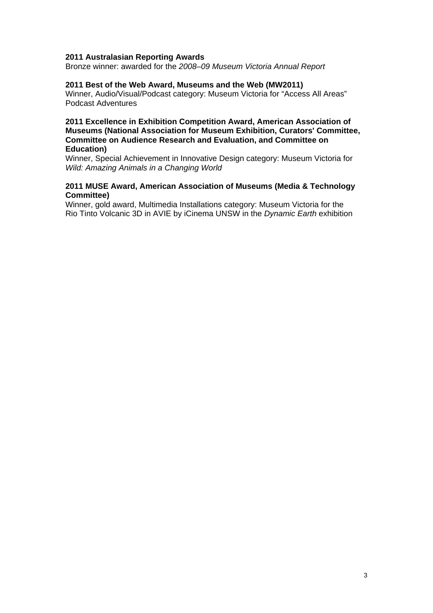### **2011 Australasian Reporting Awards**

Bronze winner: awarded for the *2008–09 Museum Victoria Annual Report*

### **2011 Best of the Web Award, Museums and the Web (MW2011)**

Winner, Audio/Visual/Podcast category: Museum Victoria for "Access All Areas" Podcast Adventures

### **2011 Excellence in Exhibition Competition Award, American Association of Museums (National Association for Museum Exhibition, Curators' Committee, Committee on Audience Research and Evaluation, and Committee on Education)**

Winner, Special Achievement in Innovative Design category: Museum Victoria for *Wild: Amazing Animals in a Changing World*

### **2011 MUSE Award, American Association of Museums (Media & Technology Committee)**

Winner, gold award, Multimedia Installations category: Museum Victoria for the Rio Tinto Volcanic 3D in AVIE by iCinema UNSW in the *Dynamic Earth* exhibition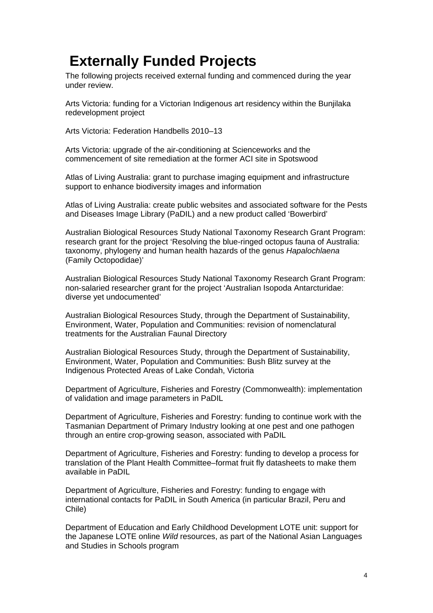## <span id="page-3-0"></span>**Externally Funded Projects**

The following projects received external funding and commenced during the year under review.

Arts Victoria: funding for a Victorian Indigenous art residency within the Bunjilaka redevelopment project

Arts Victoria: Federation Handbells 2010–13

Arts Victoria: upgrade of the air-conditioning at Scienceworks and the commencement of site remediation at the former ACI site in Spotswood

Atlas of Living Australia: grant to purchase imaging equipment and infrastructure support to enhance biodiversity images and information

Atlas of Living Australia: create public websites and associated software for the Pests and Diseases Image Library (PaDIL) and a new product called 'Bowerbird'

Australian Biological Resources Study National Taxonomy Research Grant Program: research grant for the project 'Resolving the blue-ringed octopus fauna of Australia: taxonomy, phylogeny and human health hazards of the genus *Hapalochlaena* (Family Octopodidae)'

Australian Biological Resources Study National Taxonomy Research Grant Program: non-salaried researcher grant for the project 'Australian Isopoda Antarcturidae: diverse yet undocumented'

Australian Biological Resources Study, through the Department of Sustainability, Environment, Water, Population and Communities: revision of nomenclatural treatments for the Australian Faunal Directory

Australian Biological Resources Study, through the Department of Sustainability, Environment, Water, Population and Communities: Bush Blitz survey at the Indigenous Protected Areas of Lake Condah, Victoria

Department of Agriculture, Fisheries and Forestry (Commonwealth): implementation of validation and image parameters in PaDIL

Department of Agriculture, Fisheries and Forestry: funding to continue work with the Tasmanian Department of Primary Industry looking at one pest and one pathogen through an entire crop-growing season, associated with PaDIL

Department of Agriculture, Fisheries and Forestry: funding to develop a process for translation of the Plant Health Committee–format fruit fly datasheets to make them available in PaDIL

Department of Agriculture, Fisheries and Forestry: funding to engage with international contacts for PaDIL in South America (in particular Brazil, Peru and Chile)

Department of Education and Early Childhood Development LOTE unit: support for the Japanese LOTE online *Wild* resources, as part of the National Asian Languages and Studies in Schools program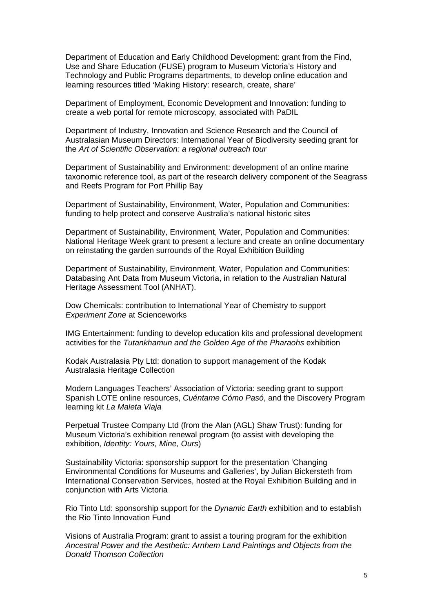Department of Education and Early Childhood Development: grant from the Find, Use and Share Education (FUSE) program to Museum Victoria's History and Technology and Public Programs departments, to develop online education and learning resources titled 'Making History: research, create, share'

Department of Employment, Economic Development and Innovation: funding to create a web portal for remote microscopy, associated with PaDIL

Department of Industry, Innovation and Science Research and the Council of Australasian Museum Directors: International Year of Biodiversity seeding grant for the *Art of Scientific Observation: a regional outreach tour*

Department of Sustainability and Environment: development of an online marine taxonomic reference tool, as part of the research delivery component of the Seagrass and Reefs Program for Port Phillip Bay

Department of Sustainability, Environment, Water, Population and Communities: funding to help protect and conserve Australia's national historic sites

Department of Sustainability, Environment, Water, Population and Communities: National Heritage Week grant to present a lecture and create an online documentary on reinstating the garden surrounds of the Royal Exhibition Building

Department of Sustainability, Environment, Water, Population and Communities: Databasing Ant Data from Museum Victoria, in relation to the Australian Natural Heritage Assessment Tool (ANHAT).

Dow Chemicals: contribution to International Year of Chemistry to support *Experiment Zone* at Scienceworks

IMG Entertainment: funding to develop education kits and professional development activities for the *Tutankhamun and the Golden Age of the Pharaohs* exhibition

Kodak Australasia Pty Ltd: donation to support management of the Kodak Australasia Heritage Collection

Modern Languages Teachers' Association of Victoria: seeding grant to support Spanish LOTE online resources, *Cuéntame Cómo Pasó*, and the Discovery Program learning kit *La Maleta Viaja*

Perpetual Trustee Company Ltd (from the Alan (AGL) Shaw Trust): funding for Museum Victoria's exhibition renewal program (to assist with developing the exhibition, *Identity: Yours, Mine, Ours*)

Sustainability Victoria: sponsorship support for the presentation 'Changing Environmental Conditions for Museums and Galleries', by Julian Bickersteth from International Conservation Services, hosted at the Royal Exhibition Building and in conjunction with Arts Victoria

Rio Tinto Ltd: sponsorship support for the *Dynamic Earth* exhibition and to establish the Rio Tinto Innovation Fund

Visions of Australia Program: grant to assist a touring program for the exhibition *Ancestral Power and the Aesthetic: Arnhem Land Paintings and Objects from the Donald Thomson Collection*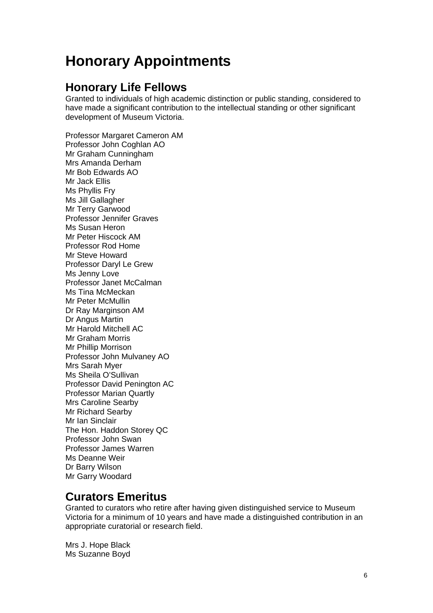## <span id="page-5-0"></span>**Honorary Appointments**

### **Honorary Life Fellows**

Granted to individuals of high academic distinction or public standing, considered to have made a significant contribution to the intellectual standing or other significant development of Museum Victoria.

Professor Margaret Cameron AM Professor John Coghlan AO Mr Graham Cunningham Mrs Amanda Derham Mr Bob Edwards AO Mr Jack Ellis Ms Phyllis Fry Ms Jill Gallagher Mr Terry Garwood Professor Jennifer Graves Ms Susan Heron Mr Peter Hiscock AM Professor Rod Home Mr Steve Howard Professor Daryl Le Grew Ms Jenny Love Professor Janet McCalman Ms Tina McMeckan Mr Peter McMullin Dr Ray Marginson AM Dr Angus Martin Mr Harold Mitchell AC Mr Graham Morris Mr Phillip Morrison Professor John Mulvaney AO Mrs Sarah Myer Ms Sheila O'Sullivan Professor David Penington AC Professor Marian Quartly Mrs Caroline Searby Mr Richard Searby Mr Ian Sinclair The Hon. Haddon Storey QC Professor John Swan Professor James Warren Ms Deanne Weir Dr Barry Wilson Mr Garry Woodard

### **Curators Emeritus**

Granted to curators who retire after having given distinguished service to Museum Victoria for a minimum of 10 years and have made a distinguished contribution in an appropriate curatorial or research field.

Mrs J. Hope Black Ms Suzanne Boyd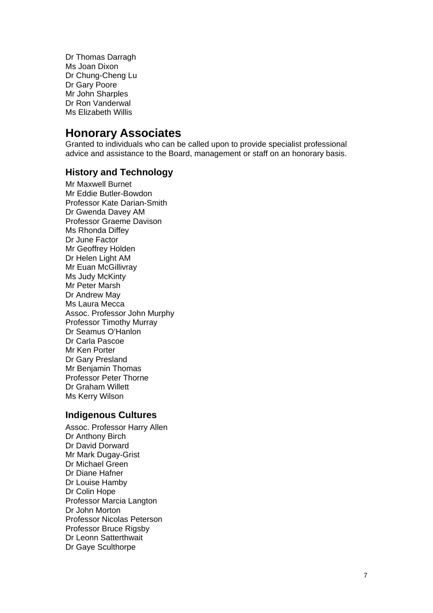Dr Thomas Darragh Ms Joan Dixon Dr Chung-Cheng Lu Dr Gary Poore Mr John Sharples Dr Ron Vanderwal Ms Elizabeth Willis

### **Honorary Associates**

Granted to individuals who can be called upon to provide specialist professional advice and assistance to the Board, management or staff on an honorary basis.

### **History and Technology**

Mr Maxwell Burnet Mr Eddie Butler-Bowdon Professor Kate Darian-Smith Dr Gwenda Davey AM Professor Graeme Davison Ms Rhonda Diffey Dr June Factor Mr Geoffrey Holden Dr Helen Light AM Mr Euan McGillivray Ms Judy McKinty Mr Peter Marsh Dr Andrew May Ms Laura Mecca Assoc. Professor John Murphy Professor Timothy Murray Dr Seamus O'Hanlon Dr Carla Pascoe Mr Ken Porter Dr Gary Presland Mr Benjamin Thomas Professor Peter Thorne Dr Graham Willett Ms Kerry Wilson

### **Indigenous Cultures**

Assoc. Professor Harry Allen Dr Anthony Birch Dr David Dorward Mr Mark Dugay-Grist Dr Michael Green Dr Diane Hafner Dr Louise Hamby Dr Colin Hope Professor Marcia Langton Dr John Morton Professor Nicolas Peterson Professor Bruce Rigsby Dr Leonn Satterthwait Dr Gaye Sculthorpe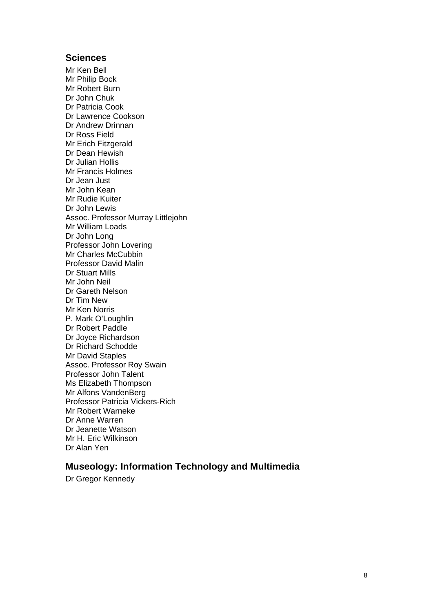### **Sciences**

Mr Ken Bell Mr Philip Bock Mr Robert Burn Dr John Chuk Dr Patricia Cook Dr Lawrence Cookson Dr Andrew Drinnan Dr Ross Field Mr Erich Fitzgerald Dr Dean Hewish Dr Julian Hollis Mr Francis Holmes Dr Jean Just Mr John Kean Mr Rudie Kuiter Dr John Lewis Assoc. Professor Murray Littlejohn Mr William Loads Dr John Long Professor John Lovering Mr Charles McCubbin Professor David Malin Dr Stuart Mills Mr John Neil Dr Gareth Nelson Dr Tim New Mr Ken Norris P. Mark O'Loughlin Dr Robert Paddle Dr Joyce Richardson Dr Richard Schodde Mr David Staples Assoc. Professor Roy Swain Professor John Talent Ms Elizabeth Thompson Mr Alfons VandenBerg Professor Patricia Vickers-Rich Mr Robert Warneke Dr Anne Warren Dr Jeanette Watson Mr H. Eric Wilkinson Dr Alan Yen

### **Museology: Information Technology and Multimedia**

Dr Gregor Kennedy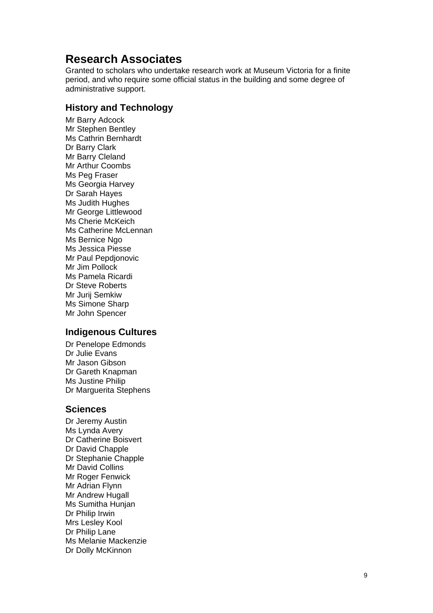### **Research Associates**

Granted to scholars who undertake research work at Museum Victoria for a finite period, and who require some official status in the building and some degree of administrative support.

### **History and Technology**

Mr Barry Adcock Mr Stephen Bentley Ms Cathrin Bernhardt Dr Barry Clark Mr Barry Cleland Mr Arthur Coombs Ms Peg Fraser Ms Georgia Harvey Dr Sarah Hayes Ms Judith Hughes Mr George Littlewood Ms Cherie McKeich Ms Catherine McLennan Ms Bernice Ngo Ms Jessica Piesse Mr Paul Pepdjonovic Mr Jim Pollock Ms Pamela Ricardi Dr Steve Roberts Mr Jurij Semkiw Ms Simone Sharp Mr John Spencer

### **Indigenous Cultures**

Dr Penelope Edmonds Dr Julie Evans Mr Jason Gibson Dr Gareth Knapman Ms Justine Philip Dr Marguerita Stephens

### **Sciences**

Dr Jeremy Austin Ms Lynda Avery Dr Catherine Boisvert Dr David Chapple Dr Stephanie Chapple Mr David Collins Mr Roger Fenwick Mr Adrian Flynn Mr Andrew Hugall Ms Sumitha Hunjan Dr Philip Irwin Mrs Lesley Kool Dr Philip Lane Ms Melanie Mackenzie Dr Dolly McKinnon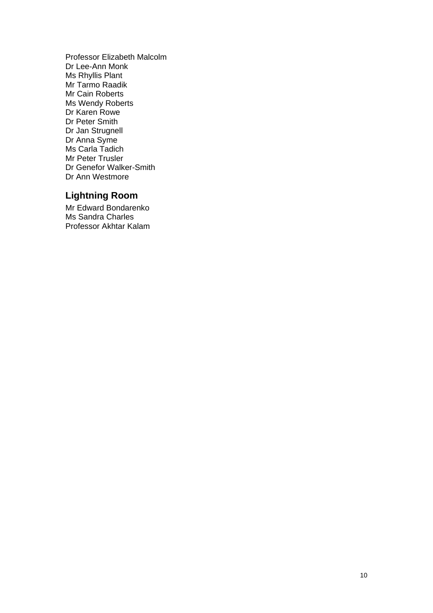Professor Elizabeth Malcolm Dr Lee-Ann Monk Ms Rhyllis Plant Mr Tarmo Raadik Mr Cain Roberts Ms Wendy Roberts Dr Karen Rowe Dr Peter Smith Dr Jan Strugnell Dr Anna Syme Ms Carla Tadich Mr Peter Trusler Dr Genefor Walker-Smith Dr Ann Westmore

### **Lightning Room**

Mr Edward Bondarenko Ms Sandra Charles Professor Akhtar Kalam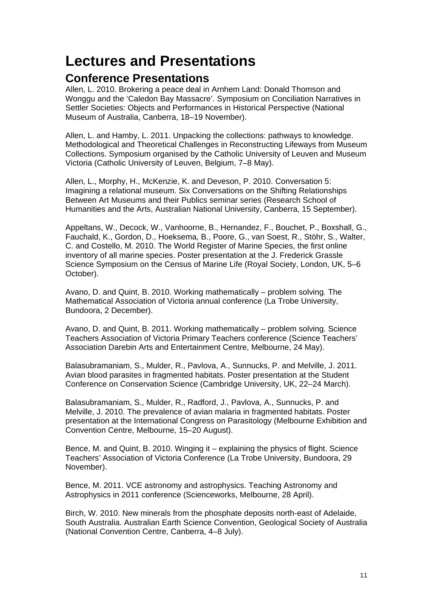## <span id="page-10-0"></span>**Lectures and Presentations**

### **Conference Presentations**

Allen, L. 2010. Brokering a peace deal in Arnhem Land: Donald Thomson and Wonggu and the 'Caledon Bay Massacre'. Symposium on Conciliation Narratives in Settler Societies: Objects and Performances in Historical Perspective (National Museum of Australia, Canberra, 18–19 November).

Allen, L. and Hamby, L. 2011. Unpacking the collections: pathways to knowledge. Methodological and Theoretical Challenges in Reconstructing Lifeways from Museum Collections. Symposium organised by the Catholic University of Leuven and Museum Victoria (Catholic University of Leuven, Belgium, 7–8 May).

Allen, L., Morphy, H., McKenzie, K. and Deveson, P. 2010. Conversation 5: Imagining a relational museum. Six Conversations on the Shifting Relationships Between Art Museums and their Publics seminar series (Research School of Humanities and the Arts, Australian National University, Canberra, 15 September).

Appeltans, W., Decock, W., Vanhoorne, B., Hernandez, F., Bouchet, P., Boxshall, G., Fauchald, K., Gordon, D., Hoeksema, B., Poore, G., van Soest, R., Stöhr, S., Walter, C. and Costello, M. 2010. The World Register of Marine Species, the first online inventory of all marine species. Poster presentation at the J. Frederick Grassle Science Symposium on the Census of Marine Life (Royal Society, London, UK, 5–6 October).

Avano, D. and Quint, B. 2010. Working mathematically – problem solving*.* The Mathematical Association of Victoria annual conference (La Trobe University, Bundoora, 2 December).

Avano, D. and Quint, B. 2011. Working mathematically – problem solving*.* Science Teachers Association of Victoria Primary Teachers conference (Science Teachers' Association Darebin Arts and Entertainment Centre, Melbourne, 24 May).

Balasubramaniam, S., Mulder, R., Pavlova, A., Sunnucks, P. and Melville, J. 2011. Avian blood parasites in fragmented habitats. Poster presentation at the Student Conference on Conservation Science (Cambridge University, UK, 22–24 March).

Balasubramaniam, S., Mulder, R., Radford, J., Pavlova, A., Sunnucks, P. and Melville, J. 2010. The prevalence of avian malaria in fragmented habitats. Poster presentation at the International Congress on Parasitology (Melbourne Exhibition and Convention Centre, Melbourne, 15–20 August).

Bence, M. and Quint, B. 2010. Winging it – explaining the physics of flight. Science Teachers' Association of Victoria Conference (La Trobe University, Bundoora, 29 November).

Bence, M. 2011. VCE astronomy and astrophysics. Teaching Astronomy and Astrophysics in 2011 conference (Scienceworks, Melbourne, 28 April).

Birch, W. 2010. New minerals from the phosphate deposits north‐east of Adelaide, South Australia. Australian Earth Science Convention, Geological Society of Australia (National Convention Centre, Canberra, 4–8 July).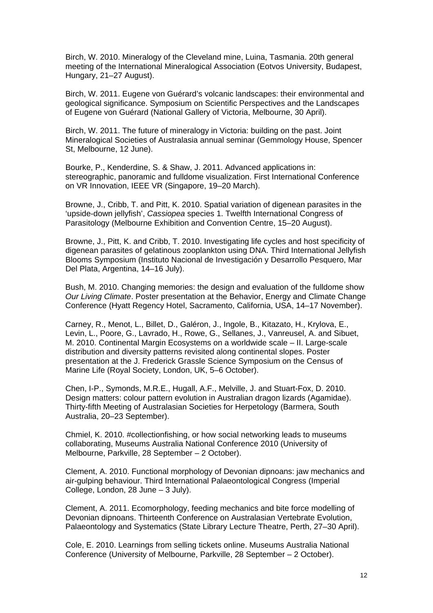Birch, W. 2010. Mineralogy of the Cleveland mine, Luina, Tasmania. 20th general meeting of the International Mineralogical Association (Eotvos University, Budapest, Hungary, 21–27 August).

Birch, W. 2011. Eugene von Guérard's volcanic landscapes: their environmental and geological significance. Symposium on Scientific Perspectives and the Landscapes of Eugene von Guérard (National Gallery of Victoria, Melbourne, 30 April).

Birch, W. 2011. The future of mineralogy in Victoria: building on the past. Joint Mineralogical Societies of Australasia annual seminar (Gemmology House, Spencer St, Melbourne, 12 June).

Bourke, P., Kenderdine, S. & Shaw, J. 2011. Advanced applications in: stereographic, panoramic and fulldome visualization. First International Conference on VR Innovation, IEEE VR (Singapore, 19–20 March).

Browne, J., Cribb, T. and Pitt, K. 2010. Spatial variation of digenean parasites in the 'upside-down jellyfish', *Cassiopea* species 1. Twelfth International Congress of Parasitology (Melbourne Exhibition and Convention Centre, 15–20 August).

Browne, J., Pitt, K. and Cribb, T. 2010. Investigating life cycles and host specificity of digenean parasites of gelatinous zooplankton using DNA. Third International Jellyfish Blooms Symposium (Instituto Nacional de Investigación y Desarrollo Pesquero, Mar Del Plata, Argentina, 14–16 July).

Bush, M. 2010. Changing memories: the design and evaluation of the fulldome show *Our Living Climate*. Poster presentation at the Behavior, Energy and Climate Change Conference (Hyatt Regency Hotel, Sacramento, California, USA, 14–17 November).

Carney, R., Menot, L., Billet, D., Galéron, J., Ingole, B., Kitazato, H., Krylova, E., Levin, L., Poore, G., Lavrado, H., Rowe, G., Sellanes, J., Vanreusel, A. and Sibuet, M. 2010. Continental Margin Ecosystems on a worldwide scale – II. Large-scale distribution and diversity patterns revisited along continental slopes. Poster presentation at the J. Frederick Grassle Science Symposium on the Census of Marine Life (Royal Society, London, UK, 5–6 October).

Chen, I-P., Symonds, M.R.E., Hugall, A.F., Melville, J. and Stuart-Fox, D. 2010. Design matters: colour pattern evolution in Australian dragon lizards (Agamidae). Thirty-fifth Meeting of Australasian Societies for Herpetology (Barmera, South Australia, 20–23 September).

Chmiel, K. 2010. #collectionfishing, or how social networking leads to museums collaborating, Museums Australia National Conference 2010 (University of Melbourne, Parkville, 28 September – 2 October).

Clement, A. 2010. Functional morphology of Devonian dipnoans: jaw mechanics and air-gulping behaviour. Third International Palaeontological Congress (Imperial College, London, 28 June – 3 July).

Clement, A. 2011. Ecomorphology, feeding mechanics and bite force modelling of Devonian dipnoans. Thirteenth Conference on Australasian Vertebrate Evolution, Palaeontology and Systematics (State Library Lecture Theatre, Perth, 27–30 April).

Cole, E. 2010. Learnings from selling tickets online. Museums Australia National Conference (University of Melbourne, Parkville, 28 September – 2 October).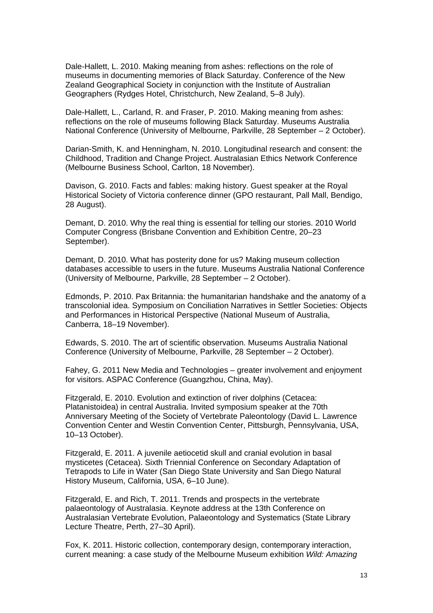Dale-Hallett, L. 2010. Making meaning from ashes: reflections on the role of museums in documenting memories of Black Saturday. Conference of the New Zealand Geographical Society in conjunction with the Institute of Australian Geographers (Rydges Hotel, Christchurch, New Zealand, 5–8 July).

Dale-Hallett, L., Carland, R. and Fraser, P. 2010. Making meaning from ashes: reflections on the role of museums following Black Saturday. Museums Australia National Conference (University of Melbourne, Parkville, 28 September – 2 October).

Darian-Smith, K. and Henningham, N. 2010. Longitudinal research and consent: the Childhood, Tradition and Change Project. Australasian Ethics Network Conference (Melbourne Business School, Carlton, 18 November).

Davison, G. 2010. Facts and fables: making history. Guest speaker at the Royal Historical Society of Victoria conference dinner (GPO restaurant, Pall Mall, Bendigo, 28 August).

Demant, D. 2010. Why the real thing is essential for telling our stories. 2010 World Computer Congress (Brisbane Convention and Exhibition Centre, 20–23 September).

Demant, D. 2010. What has posterity done for us? Making museum collection databases accessible to users in the future. Museums Australia National Conference (University of Melbourne, Parkville, 28 September – 2 October).

Edmonds, P. 2010. Pax Britannia: the humanitarian handshake and the anatomy of a transcolonial idea. Symposium on Conciliation Narratives in Settler Societies: Objects and Performances in Historical Perspective (National Museum of Australia, Canberra, 18–19 November).

Edwards, S. 2010. The art of scientific observation. Museums Australia National Conference (University of Melbourne, Parkville, 28 September – 2 October).

Fahey, G. 2011 New Media and Technologies – greater involvement and enjoyment for visitors. ASPAC Conference (Guangzhou, China, May).

Fitzgerald, E. 2010. Evolution and extinction of river dolphins (Cetacea: Platanistoidea) in central Australia. Invited symposium speaker at the 70th Anniversary Meeting of the Society of Vertebrate Paleontology (David L. Lawrence Convention Center and Westin Convention Center, Pittsburgh, Pennsylvania, USA, 10–13 October).

Fitzgerald, E. 2011. A juvenile aetiocetid skull and cranial evolution in basal mysticetes (Cetacea). Sixth Triennial Conference on Secondary Adaptation of Tetrapods to Life in Water (San Diego State University and San Diego Natural History Museum, California, USA, 6–10 June).

Fitzgerald, E. and Rich, T. 2011. Trends and prospects in the vertebrate palaeontology of Australasia. Keynote address at the 13th Conference on Australasian Vertebrate Evolution, Palaeontology and Systematics (State Library Lecture Theatre, Perth, 27–30 April).

Fox, K. 2011. Historic collection, contemporary design, contemporary interaction, current meaning: a case study of the Melbourne Museum exhibition *Wild: Amazing*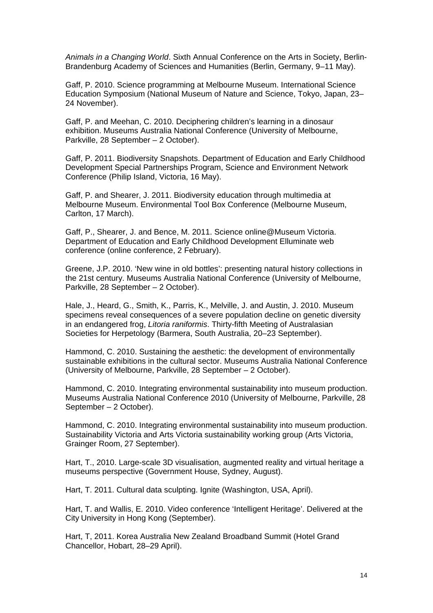*Animals in a Changing World*. Sixth Annual Conference on the Arts in Society, Berlin-Brandenburg Academy of Sciences and Humanities (Berlin, Germany, 9–11 May).

Gaff, P. 2010. Science programming at Melbourne Museum. International Science Education Symposium (National Museum of Nature and Science, Tokyo, Japan, 23– 24 November).

Gaff, P. and Meehan, C. 2010. Deciphering children's learning in a dinosaur exhibition. Museums Australia National Conference (University of Melbourne, Parkville, 28 September – 2 October).

Gaff, P. 2011. Biodiversity Snapshots. Department of Education and Early Childhood Development Special Partnerships Program, Science and Environment Network Conference (Philip Island, Victoria, 16 May).

Gaff, P. and Shearer, J. 2011. Biodiversity education through multimedia at Melbourne Museum. Environmental Tool Box Conference (Melbourne Museum, Carlton, 17 March).

Gaff, P., Shearer, J. and Bence, M. 2011. Science online@Museum Victoria. Department of Education and Early Childhood Development Elluminate web conference (online conference, 2 February).

Greene, J.P. 2010. 'New wine in old bottles': presenting natural history collections in the 21st century. Museums Australia National Conference (University of Melbourne, Parkville, 28 September – 2 October).

Hale, J., Heard, G., Smith, K., Parris, K., Melville, J. and Austin, J. 2010. Museum specimens reveal consequences of a severe population decline on genetic diversity in an endangered frog, *Litoria raniformis*. Thirty-fifth Meeting of Australasian Societies for Herpetology (Barmera, South Australia, 20–23 September).

Hammond, C. 2010. Sustaining the aesthetic: the development of environmentally sustainable exhibitions in the cultural sector. Museums Australia National Conference (University of Melbourne, Parkville, 28 September – 2 October).

Hammond, C. 2010. Integrating environmental sustainability into museum production. Museums Australia National Conference 2010 (University of Melbourne, Parkville, 28 September – 2 October).

Hammond, C. 2010. Integrating environmental sustainability into museum production. Sustainability Victoria and Arts Victoria sustainability working group (Arts Victoria, Grainger Room, 27 September).

Hart, T., 2010. Large-scale 3D visualisation, augmented reality and virtual heritage a museums perspective (Government House, Sydney, August).

Hart, T. 2011. Cultural data sculpting. Ignite (Washington, USA, April).

Hart, T. and Wallis, E. 2010. Video conference 'Intelligent Heritage'. Delivered at the City University in Hong Kong (September).

Hart, T, 2011. Korea Australia New Zealand Broadband Summit (Hotel Grand Chancellor, Hobart, 28–29 April).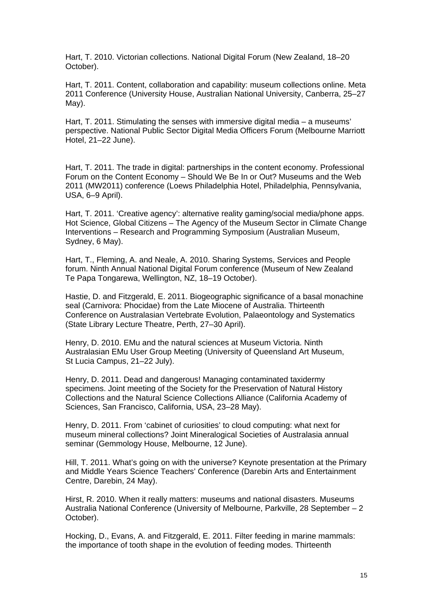Hart, T. 2010. Victorian collections. National Digital Forum (New Zealand, 18–20 October).

Hart, T. 2011. Content, collaboration and capability: museum collections online. Meta 2011 Conference (University House, Australian National University, Canberra, 25–27 May).

Hart, T. 2011. Stimulating the senses with immersive digital media – a museums' perspective. National Public Sector Digital Media Officers Forum (Melbourne Marriott Hotel, 21–22 June).

Hart, T. 2011. The trade in digital: partnerships in the content economy. Professional Forum on the Content Economy – Should We Be In or Out? Museums and the Web 2011 (MW2011) conference (Loews Philadelphia Hotel, Philadelphia, Pennsylvania, USA, 6–9 April).

Hart, T. 2011. 'Creative agency': alternative reality gaming/social media/phone apps. Hot Science, Global Citizens – The Agency of the Museum Sector in Climate Change Interventions – Research and Programming Symposium (Australian Museum, Sydney, 6 May).

Hart, T., Fleming, A. and Neale, A. 2010. Sharing Systems, Services and People forum. Ninth Annual National Digital Forum conference (Museum of New Zealand Te Papa Tongarewa, Wellington, NZ, 18–19 October).

Hastie, D. and Fitzgerald, E. 2011. Biogeographic significance of a basal monachine seal (Carnivora: Phocidae) from the Late Miocene of Australia. Thirteenth Conference on Australasian Vertebrate Evolution, Palaeontology and Systematics (State Library Lecture Theatre, Perth, 27–30 April).

Henry, D. 2010. EMu and the natural sciences at Museum Victoria. Ninth Australasian EMu User Group Meeting (University of Queensland Art Museum, St Lucia Campus, 21–22 July).

Henry, D. 2011. Dead and dangerous! Managing contaminated taxidermy specimens. Joint meeting of the Society for the Preservation of Natural History Collections and the Natural Science Collections Alliance (California Academy of Sciences, San Francisco, California, USA, 23–28 May).

Henry, D. 2011. From 'cabinet of curiosities' to cloud computing: what next for museum mineral collections? Joint Mineralogical Societies of Australasia annual seminar (Gemmology House, Melbourne, 12 June).

Hill, T. 2011. What's going on with the universe? Keynote presentation at the Primary and Middle Years Science Teachers' Conference (Darebin Arts and Entertainment Centre, Darebin, 24 May).

Hirst, R. 2010. When it really matters: museums and national disasters. Museums Australia National Conference (University of Melbourne, Parkville, 28 September – 2 October).

Hocking, D., Evans, A. and Fitzgerald, E. 2011. Filter feeding in marine mammals: the importance of tooth shape in the evolution of feeding modes. Thirteenth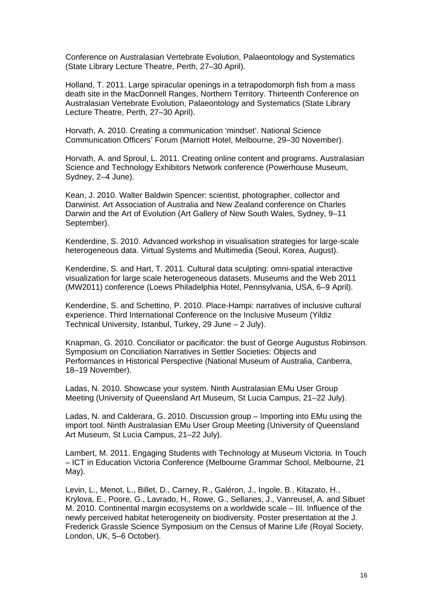Conference on Australasian Vertebrate Evolution, Palaeontology and Systematics (State Library Lecture Theatre, Perth, 27–30 April).

Holland, T. 2011. Large spiracular openings in a tetrapodomorph fish from a mass death site in the MacDonnell Ranges, Northern Territory. Thirteenth Conference on Australasian Vertebrate Evolution, Palaeontology and Systematics (State Library Lecture Theatre, Perth, 27–30 April).

Horvath, A. 2010. Creating a communication 'mindset'. National Science Communication Officers' Forum (Marriott Hotel, Melbourne, 29–30 November).

Horvath, A. and Sproul, L. 2011. Creating online content and programs. Australasian Science and Technology Exhibitors Network conference (Powerhouse Museum, Sydney, 2–4 June).

Kean, J. 2010. Walter Baldwin Spencer: scientist, photographer, collector and Darwinist. Art Association of Australia and New Zealand conference on Charles Darwin and the Art of Evolution (Art Gallery of New South Wales, Sydney, 9–11 September).

Kenderdine, S. 2010. Advanced workshop in visualisation strategies for large-scale heterogeneous data. Virtual Systems and Multimedia (Seoul, Korea, August).

Kenderdine, S. and Hart, T. 2011. Cultural data sculpting: omni-spatial interactive visualization for large scale heterogeneous datasets. Museums and the Web 2011 (MW2011) conference (Loews Philadelphia Hotel, Pennsylvania, USA, 6–9 April).

Kenderdine, S. and Schettino, P. 2010. Place-Hampi: narratives of inclusive cultural experience. Third International Conference on the Inclusive Museum (Yildiz Technical University, Istanbul, Turkey, 29 June – 2 July).

Knapman, G. 2010. Conciliator or pacificator: the bust of George Augustus Robinson. Symposium on Conciliation Narratives in Settler Societies: Objects and Performances in Historical Perspective (National Museum of Australia, Canberra, 18–19 November).

Ladas, N. 2010. Showcase your system. Ninth Australasian EMu User Group Meeting (University of Queensland Art Museum, St Lucia Campus, 21–22 July).

Ladas, N. and Calderara, G. 2010. Discussion group – Importing into EMu using the import tool. Ninth Australasian EMu User Group Meeting (University of Queensland Art Museum, St Lucia Campus, 21–22 July).

Lambert, M. 2011. Engaging Students with Technology at Museum Victoria. In Touch – ICT in Education Victoria Conference (Melbourne Grammar School, Melbourne, 21 May).

Levin, L., Menot, L., Billet, D., Carney, R., Galéron, J., Ingole, B., Kitazato, H., Krylova, E., Poore, G., Lavrado, H., Rowe, G., Sellanes, J., Vanreusel, A. and Sibuet M. 2010. Continental margin ecosystems on a worldwide scale – III. Influence of the newly perceived habitat heterogeneity on biodiversity. Poster presentation at the J. Frederick Grassle Science Symposium on the Census of Marine Life (Royal Society, London, UK, 5–6 October).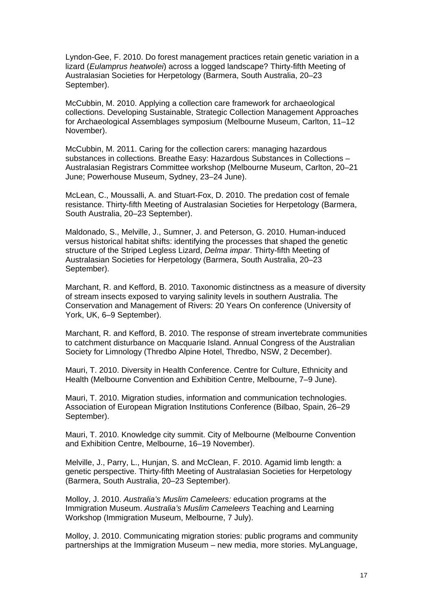Lyndon-Gee, F. 2010. Do forest management practices retain genetic variation in a lizard (*Eulamprus heatwolei*) across a logged landscape? Thirty-fifth Meeting of Australasian Societies for Herpetology (Barmera, South Australia, 20–23 September).

McCubbin, M. 2010. Applying a collection care framework for archaeological collections. Developing Sustainable, Strategic Collection Management Approaches for Archaeological Assemblages symposium (Melbourne Museum, Carlton, 11–12 November).

McCubbin, M. 2011. Caring for the collection carers: managing hazardous substances in collections. Breathe Easy: Hazardous Substances in Collections – Australasian Registrars Committee workshop (Melbourne Museum, Carlton, 20–21 June; Powerhouse Museum, Sydney, 23–24 June).

McLean, C., Moussalli, A. and Stuart-Fox, D. 2010. The predation cost of female resistance. Thirty-fifth Meeting of Australasian Societies for Herpetology (Barmera, South Australia, 20–23 September).

Maldonado, S., Melville, J., Sumner, J. and Peterson, G. 2010. Human-induced versus historical habitat shifts: identifying the processes that shaped the genetic structure of the Striped Legless Lizard, *Delma impar*. Thirty-fifth Meeting of Australasian Societies for Herpetology (Barmera, South Australia, 20–23 September).

Marchant, R. and Kefford, B. 2010. Taxonomic distinctness as a measure of diversity of stream insects exposed to varying salinity levels in southern Australia. The Conservation and Management of Rivers: 20 Years On conference (University of York, UK, 6–9 September).

Marchant, R. and Kefford, B. 2010. The response of stream invertebrate communities to catchment disturbance on Macquarie Island. Annual Congress of the Australian Society for Limnology (Thredbo Alpine Hotel, Thredbo, NSW, 2 December).

Mauri, T. 2010. Diversity in Health Conference. Centre for Culture, Ethnicity and Health (Melbourne Convention and Exhibition Centre, Melbourne, 7–9 June).

Mauri, T. 2010. Migration studies, information and communication technologies. Association of European Migration Institutions Conference (Bilbao, Spain, 26–29 September).

Mauri, T. 2010. Knowledge city summit. City of Melbourne (Melbourne Convention and Exhibition Centre, Melbourne, 16–19 November).

Melville, J., Parry, L., Hunjan, S. and McClean, F. 2010. Agamid limb length: a genetic perspective. Thirty-fifth Meeting of Australasian Societies for Herpetology (Barmera, South Australia, 20–23 September).

Molloy, J. 2010. *Australia's Muslim Cameleers:* education programs at the Immigration Museum. *Australia's Muslim Cameleers* Teaching and Learning Workshop (Immigration Museum, Melbourne, 7 July).

Molloy, J. 2010. Communicating migration stories: public programs and community partnerships at the Immigration Museum – new media, more stories. MyLanguage,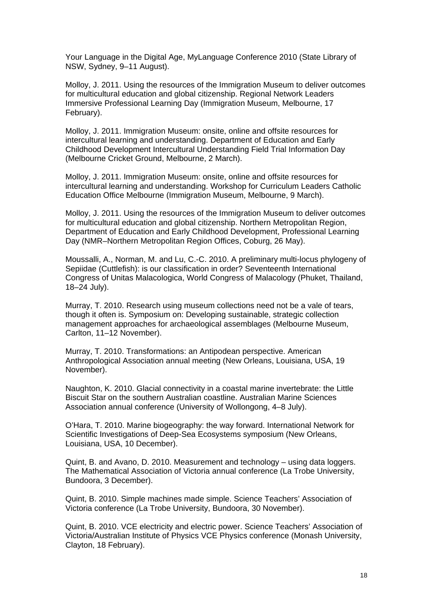Your Language in the Digital Age, MyLanguage Conference 2010 (State Library of NSW, Sydney, 9–11 August).

Molloy, J. 2011. Using the resources of the Immigration Museum to deliver outcomes for multicultural education and global citizenship. Regional Network Leaders Immersive Professional Learning Day (Immigration Museum, Melbourne, 17 February).

Molloy, J. 2011. Immigration Museum: onsite, online and offsite resources for intercultural learning and understanding. Department of Education and Early Childhood Development Intercultural Understanding Field Trial Information Day (Melbourne Cricket Ground, Melbourne, 2 March).

Molloy, J. 2011. Immigration Museum: onsite, online and offsite resources for intercultural learning and understanding. Workshop for Curriculum Leaders Catholic Education Office Melbourne (Immigration Museum, Melbourne, 9 March).

Molloy, J. 2011. Using the resources of the Immigration Museum to deliver outcomes for multicultural education and global citizenship. Northern Metropolitan Region, Department of Education and Early Childhood Development, Professional Learning Day (NMR–Northern Metropolitan Region Offices, Coburg, 26 May).

Moussalli, A., Norman, M. and Lu, C.-C. 2010. A preliminary multi-locus phylogeny of Sepiidae (Cuttlefish): is our classification in order? Seventeenth International Congress of Unitas Malacologica, World Congress of Malacology (Phuket, Thailand, 18–24 July).

Murray, T. 2010. Research using museum collections need not be a vale of tears, though it often is. Symposium on: Developing sustainable, strategic collection management approaches for archaeological assemblages (Melbourne Museum, Carlton, 11–12 November).

Murray, T. 2010. Transformations: an Antipodean perspective. American Anthropological Association annual meeting (New Orleans, Louisiana, USA, 19 November).

Naughton, K. 2010. Glacial connectivity in a coastal marine invertebrate: the Little Biscuit Star on the southern Australian coastline. Australian Marine Sciences Association annual conference (University of Wollongong, 4–8 July).

O'Hara, T. 2010. Marine biogeography: the way forward. International Network for Scientific Investigations of Deep-Sea Ecosystems symposium (New Orleans, Louisiana, USA, 10 December).

Quint, B. and Avano, D. 2010. Measurement and technology – using data loggers. The Mathematical Association of Victoria annual conference (La Trobe University, Bundoora, 3 December).

Quint, B. 2010. Simple machines made simple. Science Teachers' Association of Victoria conference (La Trobe University, Bundoora, 30 November).

Quint, B. 2010. VCE electricity and electric power. Science Teachers' Association of Victoria/Australian Institute of Physics VCE Physics conference (Monash University, Clayton, 18 February).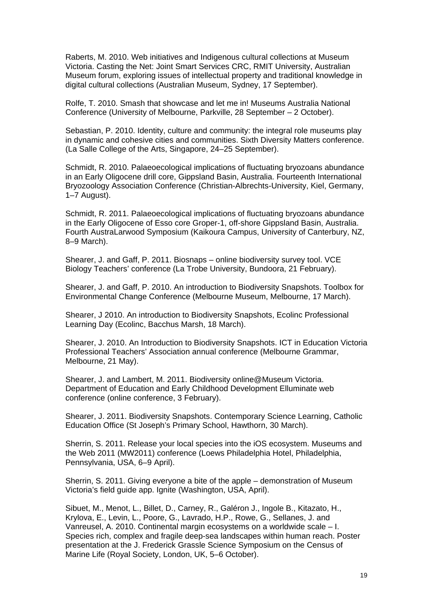Raberts, M. 2010. Web initiatives and Indigenous cultural collections at Museum Victoria. Casting the Net: Joint Smart Services CRC, RMIT University, Australian Museum forum, exploring issues of intellectual property and traditional knowledge in digital cultural collections (Australian Museum, Sydney, 17 September).

Rolfe, T. 2010. Smash that showcase and let me in! Museums Australia National Conference (University of Melbourne, Parkville, 28 September – 2 October).

Sebastian, P. 2010. Identity, culture and community: the integral role museums play in dynamic and cohesive cities and communities. Sixth Diversity Matters conference. (La Salle College of the Arts, Singapore, 24–25 September).

Schmidt, R. 2010. Palaeoecological implications of fluctuating bryozoans abundance in an Early Oligocene drill core, Gippsland Basin, Australia. Fourteenth International Bryozoology Association Conference (Christian-Albrechts-University, Kiel, Germany, 1–7 August).

Schmidt, R. 2011. Palaeoecological implications of fluctuating bryozoans abundance in the Early Oligocene of Esso core Groper-1, off-shore Gippsland Basin, Australia. Fourth AustraLarwood Symposium (Kaikoura Campus, University of Canterbury, NZ, 8–9 March).

Shearer, J. and Gaff, P. 2011. Biosnaps – online biodiversity survey tool. VCE Biology Teachers' conference (La Trobe University, Bundoora, 21 February).

Shearer, J. and Gaff, P. 2010. An introduction to Biodiversity Snapshots. Toolbox for Environmental Change Conference (Melbourne Museum, Melbourne, 17 March).

Shearer, J 2010. An introduction to Biodiversity Snapshots, Ecolinc Professional Learning Day (Ecolinc, Bacchus Marsh, 18 March).

Shearer, J. 2010. An Introduction to Biodiversity Snapshots. ICT in Education Victoria Professional Teachers' Association annual conference (Melbourne Grammar, Melbourne, 21 May).

Shearer, J. and Lambert, M. 2011. Biodiversity online@Museum Victoria. Department of Education and Early Childhood Development Elluminate web conference (online conference, 3 February).

Shearer, J. 2011. Biodiversity Snapshots. Contemporary Science Learning, Catholic Education Office (St Joseph's Primary School, Hawthorn, 30 March).

Sherrin, S. 2011. Release your local species into the iOS ecosystem. Museums and the Web 2011 (MW2011) conference (Loews Philadelphia Hotel, Philadelphia, Pennsylvania, USA, 6–9 April).

Sherrin, S. 2011. Giving everyone a bite of the apple – demonstration of Museum Victoria's field guide app. Ignite (Washington, USA, April).

Sibuet, M., Menot, L., Billet, D., Carney, R., Galéron J., Ingole B., Kitazato, H., Krylova, E., Levin, L., Poore, G., Lavrado, H.P., Rowe, G., Sellanes, J. and Vanreusel, A. 2010. Continental margin ecosystems on a worldwide scale – I. Species rich, complex and fragile deep-sea landscapes within human reach. Poster presentation at the J. Frederick Grassle Science Symposium on the Census of Marine Life (Royal Society, London, UK, 5–6 October).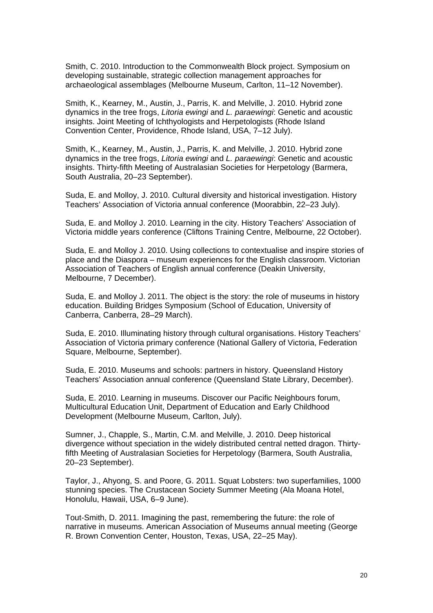Smith, C. 2010. Introduction to the Commonwealth Block project. Symposium on developing sustainable, strategic collection management approaches for archaeological assemblages (Melbourne Museum, Carlton, 11–12 November).

Smith, K., Kearney, M., Austin, J., Parris, K. and Melville, J. 2010. Hybrid zone dynamics in the tree frogs, *Litoria ewingi* and *L. paraewingi*: Genetic and acoustic insights. Joint Meeting of Ichthyologists and Herpetologists (Rhode Island Convention Center, Providence, Rhode Island, USA, 7–12 July).

Smith, K., Kearney, M., Austin, J., Parris, K. and Melville, J. 2010. Hybrid zone dynamics in the tree frogs, *Litoria ewingi* and *L. paraewingi*: Genetic and acoustic insights. Thirty-fifth Meeting of Australasian Societies for Herpetology (Barmera, South Australia, 20–23 September).

Suda, E. and Molloy, J. 2010. Cultural diversity and historical investigation. History Teachers' Association of Victoria annual conference (Moorabbin, 22–23 July).

Suda, E. and Molloy J. 2010. Learning in the city. History Teachers' Association of Victoria middle years conference (Cliftons Training Centre, Melbourne, 22 October).

Suda, E. and Molloy J. 2010. Using collections to contextualise and inspire stories of place and the Diaspora – museum experiences for the English classroom. Victorian Association of Teachers of English annual conference (Deakin University, Melbourne, 7 December).

Suda, E. and Molloy J. 2011. The object is the story: the role of museums in history education. Building Bridges Symposium (School of Education, University of Canberra, Canberra, 28–29 March).

Suda, E. 2010. Illuminating history through cultural organisations. History Teachers' Association of Victoria primary conference (National Gallery of Victoria, Federation Square, Melbourne, September).

Suda, E. 2010. Museums and schools: partners in history. Queensland History Teachers' Association annual conference (Queensland State Library, December).

Suda, E. 2010. Learning in museums. Discover our Pacific Neighbours forum, Multicultural Education Unit, Department of Education and Early Childhood Development (Melbourne Museum, Carlton, July).

Sumner, J., Chapple, S., Martin, C.M. and Melville, J. 2010. Deep historical divergence without speciation in the widely distributed central netted dragon. Thirtyfifth Meeting of Australasian Societies for Herpetology (Barmera, South Australia, 20–23 September).

Taylor, J., Ahyong, S. and Poore, G. 2011. Squat Lobsters: two superfamilies, 1000 stunning species. The Crustacean Society Summer Meeting (Ala Moana Hotel, Honolulu, Hawaii, USA, 6–9 June).

Tout-Smith, D. 2011. Imagining the past, remembering the future: the role of narrative in museums. American Association of Museums annual meeting (George R. Brown Convention Center, Houston, Texas, USA, 22–25 May).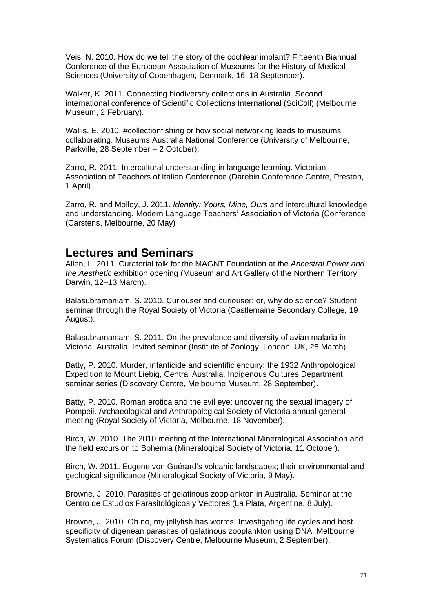Veis, N. 2010. How do we tell the story of the cochlear implant? Fifteenth Biannual Conference of the European Association of Museums for the History of Medical Sciences (University of Copenhagen, Denmark, 16–18 September).

Walker, K. 2011. Connecting biodiversity collections in Australia. Second international conference of Scientific Collections International (SciColl) (Melbourne Museum, 2 February).

Wallis, E. 2010. #collectionfishing or how social networking leads to museums collaborating. Museums Australia National Conference (University of Melbourne, Parkville, 28 September – 2 October).

Zarro, R. 2011. Intercultural understanding in language learning. Victorian Association of Teachers of Italian Conference (Darebin Conference Centre, Preston, 1 April).

Zarro, R. and Molloy, J. 2011. *Identity: Yours, Mine, Ours* and intercultural knowledge and understanding*.* Modern Language Teachers' Association of Victoria (Conference (Carstens, Melbourne, 20 May)

### **Lectures and Seminars**

Allen, L. 2011. Curatorial talk for the MAGNT Foundation at the *Ancestral Power and the Aesthetic* exhibition opening (Museum and Art Gallery of the Northern Territory, Darwin, 12–13 March).

Balasubramaniam, S. 2010. Curiouser and curiouser: or, why do science? Student seminar through the Royal Society of Victoria (Castlemaine Secondary College, 19 August).

Balasubramaniam, S. 2011. On the prevalence and diversity of avian malaria in Victoria, Australia. Invited seminar (Institute of Zoology, London, UK, 25 March).

Batty, P. 2010. Murder, infanticide and scientific enquiry: the 1932 Anthropological Expedition to Mount Liebig, Central Australia. Indigenous Cultures Department seminar series (Discovery Centre, Melbourne Museum, 28 September).

Batty, P. 2010. Roman erotica and the evil eye: uncovering the sexual imagery of Pompeii. Archaeological and Anthropological Society of Victoria annual general meeting (Royal Society of Victoria, Melbourne, 18 November).

Birch, W. 2010. The 2010 meeting of the International Mineralogical Association and the field excursion to Bohemia (Mineralogical Society of Victoria, 11 October).

Birch, W. 2011. Eugene von Guérard's volcanic landscapes; their environmental and geological significance (Mineralogical Society of Victoria, 9 May).

Browne, J. 2010. Parasites of gelatinous zooplankton in Australia. Seminar at the Centro de Estudios Parasitológicos y Vectores (La Plata, Argentina, 8 July).

Browne, J. 2010. Oh no, my jellyfish has worms! Investigating life cycles and host specificity of digenean parasites of gelatinous zooplankton using DNA. Melbourne Systematics Forum (Discovery Centre, Melbourne Museum, 2 September).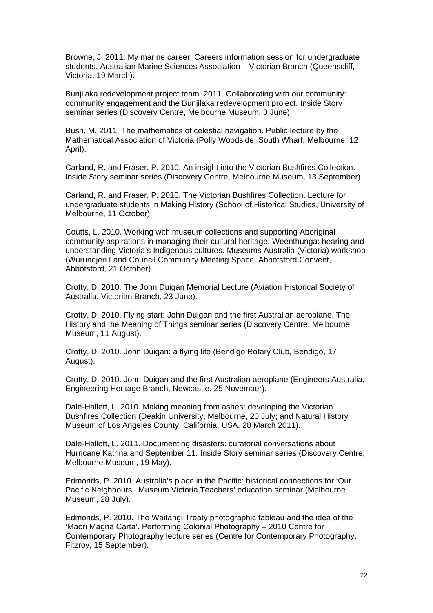Browne, J. 2011. My marine career. Careers information session for undergraduate students. Australian Marine Sciences Association – Victorian Branch (Queenscliff, Victoria, 19 March).

Bunjilaka redevelopment project team. 2011. Collaborating with our community: community engagement and the Bunjilaka redevelopment project. Inside Story seminar series (Discovery Centre, Melbourne Museum, 3 June).

Bush, M. 2011. The mathematics of celestial navigation. Public lecture by the Mathematical Association of Victoria (Polly Woodside, South Wharf, Melbourne, 12 April).

Carland, R. and Fraser, P. 2010. An insight into the Victorian Bushfires Collection. Inside Story seminar series (Discovery Centre, Melbourne Museum, 13 September).

Carland, R. and Fraser, P. 2010. The Victorian Bushfires Collection. Lecture for undergraduate students in Making History (School of Historical Studies, University of Melbourne, 11 October).

Coutts, L. 2010. Working with museum collections and supporting Aboriginal community aspirations in managing their cultural heritage. Weenthunga: hearing and understanding Victoria's Indigenous cultures. Museums Australia (Victoria) workshop (Wurundjeri Land Council Community Meeting Space, Abbotsford Convent, Abbotsford, 21 October).

Crotty, D. 2010. The John Duigan Memorial Lecture (Aviation Historical Society of Australia, Victorian Branch, 23 June).

Crotty, D. 2010. Flying start: John Duigan and the first Australian aeroplane. The History and the Meaning of Things seminar series (Discovery Centre, Melbourne Museum, 11 August).

Crotty, D. 2010. John Duigan: a flying life (Bendigo Rotary Club, Bendigo, 17 August).

Crotty, D. 2010. John Duigan and the first Australian aeroplane (Engineers Australia, Engineering Heritage Branch, Newcastle, 25 November).

Dale-Hallett, L. 2010. Making meaning from ashes: developing the Victorian Bushfires Collection (Deakin University, Melbourne, 20 July; and Natural History Museum of Los Angeles County, California, USA, 28 March 2011).

Dale-Hallett, L. 2011. Documenting disasters: curatorial conversations about Hurricane Katrina and September 11. Inside Story seminar series (Discovery Centre, Melbourne Museum, 19 May).

Edmonds, P. 2010. Australia's place in the Pacific: historical connections for 'Our Pacific Neighbours'. Museum Victoria Teachers' education seminar (Melbourne Museum, 28 July).

Edmonds, P. 2010. The Waitangi Treaty photographic tableau and the idea of the 'Maori Magna Carta'. Performing Colonial Photography – 2010 Centre for Contemporary Photography lecture series (Centre for Contemporary Photography, Fitzroy, 15 September).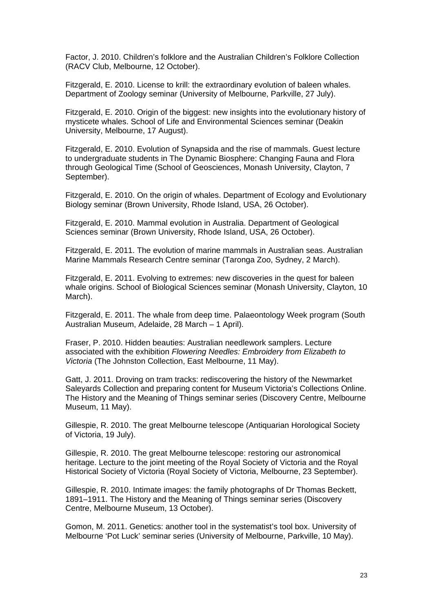Factor, J. 2010. Children's folklore and the Australian Children's Folklore Collection (RACV Club, Melbourne, 12 October).

Fitzgerald, E. 2010. License to krill: the extraordinary evolution of baleen whales. Department of Zoology seminar (University of Melbourne, Parkville, 27 July).

Fitzgerald, E. 2010. Origin of the biggest: new insights into the evolutionary history of mysticete whales. School of Life and Environmental Sciences seminar (Deakin University, Melbourne, 17 August).

Fitzgerald, E. 2010. Evolution of Synapsida and the rise of mammals. Guest lecture to undergraduate students in The Dynamic Biosphere: Changing Fauna and Flora through Geological Time (School of Geosciences, Monash University, Clayton, 7 September).

Fitzgerald, E. 2010. On the origin of whales. Department of Ecology and Evolutionary Biology seminar (Brown University, Rhode Island, USA, 26 October).

Fitzgerald, E. 2010. Mammal evolution in Australia. Department of Geological Sciences seminar (Brown University, Rhode Island, USA, 26 October).

Fitzgerald, E. 2011. The evolution of marine mammals in Australian seas. Australian Marine Mammals Research Centre seminar (Taronga Zoo, Sydney, 2 March).

Fitzgerald, E. 2011. Evolving to extremes: new discoveries in the quest for baleen whale origins. School of Biological Sciences seminar (Monash University, Clayton, 10 March).

Fitzgerald, E. 2011. The whale from deep time. Palaeontology Week program (South Australian Museum, Adelaide, 28 March – 1 April).

Fraser, P. 2010. Hidden beauties: Australian needlework samplers. Lecture associated with the exhibition *Flowering Needles: Embroidery from Elizabeth to Victoria* (The Johnston Collection, East Melbourne, 11 May).

Gatt, J. 2011. Droving on tram tracks: rediscovering the history of the Newmarket Saleyards Collection and preparing content for Museum Victoria's Collections Online. The History and the Meaning of Things seminar series (Discovery Centre, Melbourne Museum, 11 May).

Gillespie, R. 2010. The great Melbourne telescope (Antiquarian Horological Society of Victoria, 19 July).

Gillespie, R. 2010. The great Melbourne telescope: restoring our astronomical heritage. Lecture to the joint meeting of the Royal Society of Victoria and the Royal Historical Society of Victoria (Royal Society of Victoria, Melbourne, 23 September).

Gillespie, R. 2010. Intimate images: the family photographs of Dr Thomas Beckett, 1891–1911. The History and the Meaning of Things seminar series (Discovery Centre, Melbourne Museum, 13 October).

Gomon, M. 2011. Genetics: another tool in the systematist's tool box. University of Melbourne 'Pot Luck' seminar series (University of Melbourne, Parkville, 10 May).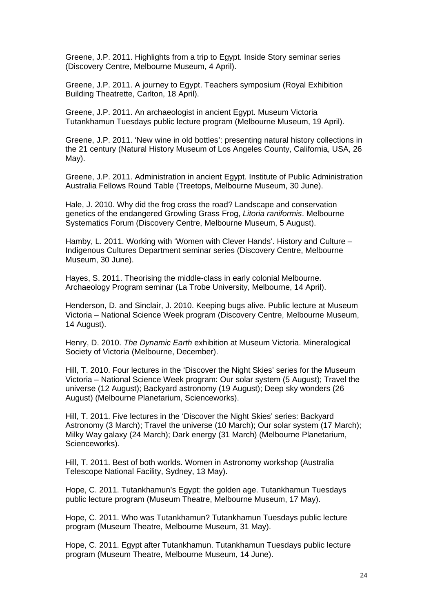Greene, J.P. 2011. Highlights from a trip to Egypt. Inside Story seminar series (Discovery Centre, Melbourne Museum, 4 April).

Greene, J.P. 2011. A journey to Egypt. Teachers symposium (Royal Exhibition Building Theatrette, Carlton, 18 April).

Greene, J.P. 2011. An archaeologist in ancient Egypt. Museum Victoria Tutankhamun Tuesdays public lecture program (Melbourne Museum, 19 April).

Greene, J.P. 2011. 'New wine in old bottles': presenting natural history collections in the 21 century (Natural History Museum of Los Angeles County, California, USA, 26 May).

Greene, J.P. 2011. Administration in ancient Egypt. Institute of Public Administration Australia Fellows Round Table (Treetops, Melbourne Museum, 30 June).

Hale, J. 2010. Why did the frog cross the road? Landscape and conservation genetics of the endangered Growling Grass Frog, *Litoria raniformis*. Melbourne Systematics Forum (Discovery Centre, Melbourne Museum, 5 August).

Hamby, L. 2011. Working with 'Women with Clever Hands'. History and Culture – Indigenous Cultures Department seminar series (Discovery Centre, Melbourne Museum, 30 June).

Hayes, S. 2011. Theorising the middle-class in early colonial Melbourne. Archaeology Program seminar (La Trobe University, Melbourne, 14 April).

Henderson, D. and Sinclair, J. 2010. Keeping bugs alive. Public lecture at Museum Victoria – National Science Week program (Discovery Centre, Melbourne Museum, 14 August).

Henry, D. 2010. *The Dynamic Earth* exhibition at Museum Victoria. Mineralogical Society of Victoria (Melbourne, December).

Hill, T. 2010. Four lectures in the 'Discover the Night Skies' series for the Museum Victoria – National Science Week program: Our solar system (5 August); Travel the universe (12 August); Backyard astronomy (19 August); Deep sky wonders (26 August) (Melbourne Planetarium, Scienceworks).

Hill, T. 2011. Five lectures in the 'Discover the Night Skies' series: Backyard Astronomy (3 March); Travel the universe (10 March); Our solar system (17 March); Milky Way galaxy (24 March); Dark energy (31 March) (Melbourne Planetarium, Scienceworks).

Hill, T. 2011. Best of both worlds. Women in Astronomy workshop (Australia Telescope National Facility, Sydney, 13 May).

Hope, C. 2011. Tutankhamun's Egypt: the golden age. Tutankhamun Tuesdays public lecture program (Museum Theatre, Melbourne Museum, 17 May).

Hope, C. 2011. Who was Tutankhamun? Tutankhamun Tuesdays public lecture program (Museum Theatre, Melbourne Museum, 31 May).

Hope, C. 2011. Egypt after Tutankhamun. Tutankhamun Tuesdays public lecture program (Museum Theatre, Melbourne Museum, 14 June).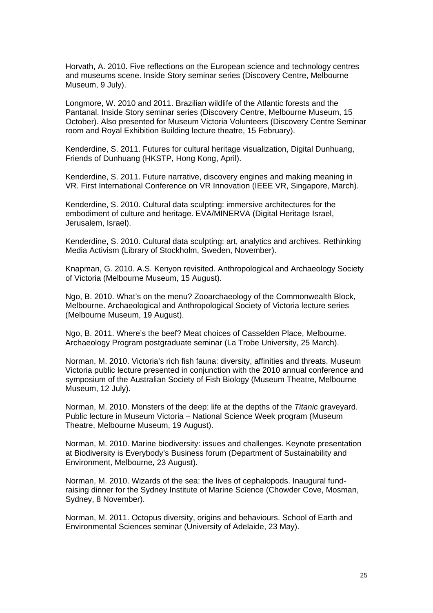Horvath, A. 2010. Five reflections on the European science and technology centres and museums scene. Inside Story seminar series (Discovery Centre, Melbourne Museum, 9 July).

Longmore, W. 2010 and 2011. Brazilian wildlife of the Atlantic forests and the Pantanal. Inside Story seminar series (Discovery Centre, Melbourne Museum, 15 October). Also presented for Museum Victoria Volunteers (Discovery Centre Seminar room and Royal Exhibition Building lecture theatre, 15 February).

Kenderdine, S. 2011. Futures for cultural heritage visualization, Digital Dunhuang, Friends of Dunhuang (HKSTP, Hong Kong, April).

Kenderdine, S. 2011. Future narrative, discovery engines and making meaning in VR. First International Conference on VR Innovation (IEEE VR, Singapore, March).

Kenderdine, S. 2010. Cultural data sculpting: immersive architectures for the embodiment of culture and heritage. EVA/MINERVA (Digital Heritage Israel, Jerusalem, Israel).

Kenderdine, S. 2010. Cultural data sculpting: art, analytics and archives. Rethinking Media Activism (Library of Stockholm, Sweden, November).

Knapman, G. 2010. A.S. Kenyon revisited. Anthropological and Archaeology Society of Victoria (Melbourne Museum, 15 August).

Ngo, B. 2010. What's on the menu? Zooarchaeology of the Commonwealth Block, Melbourne. Archaeological and Anthropological Society of Victoria lecture series (Melbourne Museum, 19 August).

Ngo, B. 2011. Where's the beef? Meat choices of Casselden Place, Melbourne. Archaeology Program postgraduate seminar (La Trobe University, 25 March).

Norman, M. 2010. Victoria's rich fish fauna: diversity, affinities and threats. Museum Victoria public lecture presented in conjunction with the 2010 annual conference and symposium of the Australian Society of Fish Biology (Museum Theatre, Melbourne Museum, 12 July).

Norman, M. 2010. Monsters of the deep: life at the depths of the *Titanic* graveyard. Public lecture in Museum Victoria – National Science Week program (Museum Theatre, Melbourne Museum, 19 August).

Norman, M. 2010. Marine biodiversity: issues and challenges. Keynote presentation at Biodiversity is Everybody's Business forum (Department of Sustainability and Environment, Melbourne, 23 August).

Norman, M. 2010. Wizards of the sea: the lives of cephalopods. Inaugural fundraising dinner for the Sydney Institute of Marine Science (Chowder Cove, Mosman, Sydney, 8 November).

Norman, M. 2011. Octopus diversity, origins and behaviours. School of Earth and Environmental Sciences seminar (University of Adelaide, 23 May).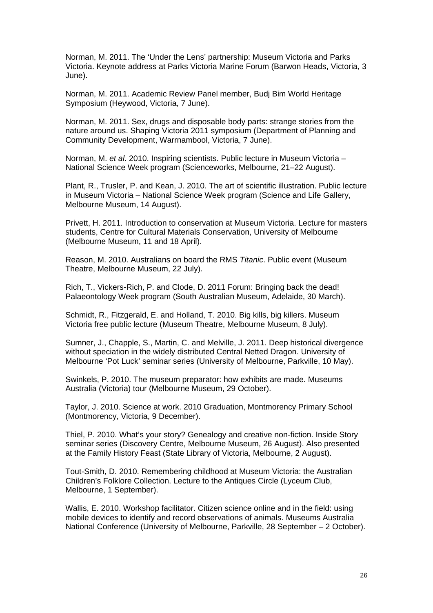Norman, M. 2011. The 'Under the Lens' partnership: Museum Victoria and Parks Victoria. Keynote address at Parks Victoria Marine Forum (Barwon Heads, Victoria, 3 June).

Norman, M. 2011. Academic Review Panel member, Budj Bim World Heritage Symposium (Heywood, Victoria, 7 June).

Norman, M. 2011. Sex, drugs and disposable body parts: strange stories from the nature around us. Shaping Victoria 2011 symposium (Department of Planning and Community Development, Warrnambool, Victoria, 7 June).

Norman, M. *et al*. 2010. Inspiring scientists. Public lecture in Museum Victoria – National Science Week program (Scienceworks, Melbourne, 21–22 August).

Plant, R., Trusler, P. and Kean, J. 2010. The art of scientific illustration. Public lecture in Museum Victoria – National Science Week program (Science and Life Gallery, Melbourne Museum, 14 August).

Privett, H. 2011. Introduction to conservation at Museum Victoria. Lecture for masters students, Centre for Cultural Materials Conservation, University of Melbourne (Melbourne Museum, 11 and 18 April).

Reason, M. 2010. Australians on board the RMS *Titanic*. Public event (Museum Theatre, Melbourne Museum, 22 July).

Rich, T., Vickers-Rich, P. and Clode, D. 2011 Forum: Bringing back the dead! Palaeontology Week program (South Australian Museum, Adelaide, 30 March).

Schmidt, R., Fitzgerald, E. and Holland, T. 2010. Big kills, big killers. Museum Victoria free public lecture (Museum Theatre, Melbourne Museum, 8 July).

Sumner, J., Chapple, S., Martin, C. and Melville, J. 2011. Deep historical divergence without speciation in the widely distributed Central Netted Dragon. University of Melbourne 'Pot Luck' seminar series (University of Melbourne, Parkville, 10 May).

Swinkels, P. 2010. The museum preparator: how exhibits are made. Museums Australia (Victoria) tour (Melbourne Museum, 29 October).

Taylor, J. 2010. Science at work. 2010 Graduation, Montmorency Primary School (Montmorency, Victoria, 9 December).

Thiel, P. 2010. What's your story? Genealogy and creative non-fiction. Inside Story seminar series (Discovery Centre, Melbourne Museum, 26 August). Also presented at the Family History Feast (State Library of Victoria, Melbourne, 2 August).

Tout-Smith, D. 2010. Remembering childhood at Museum Victoria: the Australian Children's Folklore Collection. Lecture to the Antiques Circle (Lyceum Club, Melbourne, 1 September).

Wallis, E. 2010. Workshop facilitator. Citizen science online and in the field: using mobile devices to identify and record observations of animals. Museums Australia National Conference (University of Melbourne, Parkville, 28 September – 2 October).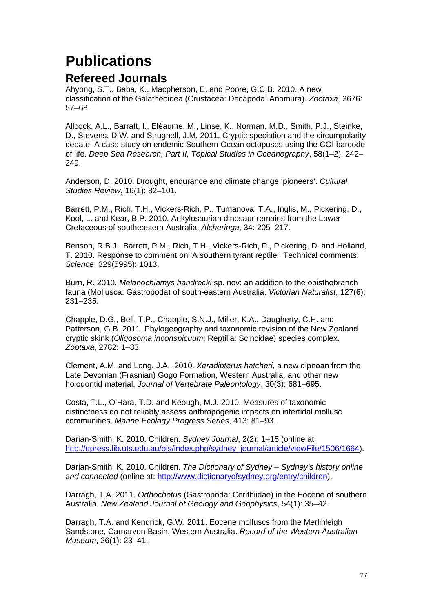## <span id="page-26-0"></span>**Publications**

### **Refereed Journals**

Ahyong, S.T., Baba, K., Macpherson, E. and Poore, G.C.B. 2010. A new classification of the Galatheoidea (Crustacea: Decapoda: Anomura). *Zootaxa*, 2676: 57–68.

Allcock, A.L., Barratt, I., Eléaume, M., Linse, K., Norman, M.D., Smith, P.J., Steinke, D., Stevens, D.W. and Strugnell, J.M. 2011. Cryptic speciation and the circumpolarity debate: A case study on endemic Southern Ocean octopuses using the COI barcode of life. *Deep Sea Research, Part II, Topical Studies in Oceanography*, 58(1–2): 242– 249.

Anderson, D. 2010. Drought, endurance and climate change 'pioneers'. *Cultural Studies Review*, 16(1): 82–101.

Barrett, P.M., Rich, T.H., Vickers-Rich, P., Tumanova, T.A., Inglis, M., Pickering, D., Kool, L. and Kear, B.P. 2010. Ankylosaurian dinosaur remains from the Lower Cretaceous of southeastern Australia. *Alcheringa*, 34: 205–217.

Benson, R.B.J., Barrett, P.M., Rich, T.H., Vickers-Rich, P., Pickering, D. and Holland, T. 2010. Response to comment on 'A southern tyrant reptile'. Technical comments. *Science*, 329(5995): 1013.

Burn, R. 2010. *Melanochlamys handrecki* sp. nov: an addition to the opisthobranch fauna (Mollusca: Gastropoda) of south-eastern Australia. *Victorian Naturalist*, 127(6): 231–235.

Chapple, D.G., Bell, T.P., Chapple, S.N.J., Miller, K.A., Daugherty, C.H. and Patterson, G.B. 2011. Phylogeography and taxonomic revision of the New Zealand cryptic skink (*Oligosoma inconspicuum*; Reptilia: Scincidae) species complex. *Zootaxa*, 2782: 1–33.

Clement, A.M. and Long, J.A.. 2010. *Xeradipterus hatcheri*, a new dipnoan from the Late Devonian (Frasnian) Gogo Formation, Western Australia, and other new holodontid material. *Journal of Vertebrate Paleontology*, 30(3): 681–695.

Costa, T.L., O'Hara, T.D. and Keough, M.J. 2010. Measures of taxonomic distinctness do not reliably assess anthropogenic impacts on intertidal mollusc communities. *Marine Ecology Progress Series*, 413: 81–93.

Darian-Smith, K. 2010. Children. *Sydney Journal*, 2(2): 1–15 (online at: [http://epress.lib.uts.edu.au/ojs/index.php/sydney\\_journal/article/viewFile/1506/1664\)](http://epress.lib.uts.edu.au/ojs/index.php/sydney_journal/article/viewFile/1506/1664).

Darian-Smith, K. 2010. Children. *The Dictionary of Sydney – Sydney's history online and connected* (online at: [http://www.dictionaryofsydney.org/entry/children\)](http://www.dictionaryofsydney.org/entry/children).

Darragh, T.A. 2011. *Orthochetus* (Gastropoda: Cerithiidae) in the Eocene of southern Australia. *New Zealand Journal of Geology and Geophysics*, 54(1): 35–42.

Darragh, T.A. and Kendrick, G.W. 2011. Eocene molluscs from the Merlinleigh Sandstone, Carnarvon Basin, Western Australia. *Record of the Western Australian Museum*, 26(1): 23–41.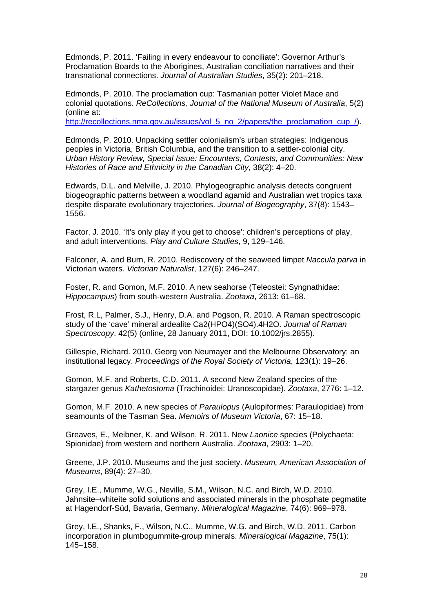Edmonds, P. 2011. 'Failing in every endeavour to conciliate': Governor Arthur's Proclamation Boards to the Aborigines, Australian conciliation narratives and their transnational connections. *Journal of Australian Studies*, 35(2): 201–218.

Edmonds, P. 2010. The proclamation cup: Tasmanian potter Violet Mace and colonial quotations. *ReCollections, Journal of the National Museum of Australia*, 5(2) (online at:

[http://recollections.nma.gov.au/issues/vol\\_5\\_no\\_2/papers/the\\_proclamation\\_cup\\_/\)](http://recollections.nma.gov.au/issues/vol_5_no_2/papers/the_proclamation_cup_/).

Edmonds, P. 2010. Unpacking settler colonialism's urban strategies: Indigenous peoples in Victoria, British Columbia, and the transition to a settler-colonial city. *Urban History Review, Special Issue: Encounters, Contests, and Communities: New Histories of Race and Ethnicity in the Canadian City*, 38(2): 4–20.

Edwards, D.L. and Melville, J. 2010. Phylogeographic analysis detects congruent biogeographic patterns between a woodland agamid and Australian wet tropics taxa despite disparate evolutionary trajectories. *Journal of Biogeography*, 37(8): 1543– 1556.

Factor, J. 2010. 'It's only play if you get to choose': children's perceptions of play, and adult interventions. *Play and Culture Studies*, 9, 129–146.

Falconer, A. and Burn, R. 2010. Rediscovery of the seaweed limpet *Naccula parva* in Victorian waters. *Victorian Naturalist*, 127(6): 246–247.

Foster, R. and Gomon, M.F. 2010. A new seahorse (Teleostei: Syngnathidae: *Hippocampus*) from south-western Australia. *Zootaxa*, 2613: 61–68.

Frost, R.L, Palmer, S.J., Henry, D.A. and Pogson, R. 2010. A Raman spectroscopic study of the 'cave' mineral ardealite Ca2(HPO4)(SO4).4H2O. *Journal of Raman Spectroscopy*. 42(5) (online, 28 January 2011, DOI: 10.1002/jrs.2855).

Gillespie, Richard. 2010. Georg von Neumayer and the Melbourne Observatory: an institutional legacy. *Proceedings of the Royal Society of Victoria*, 123(1): 19–26.

Gomon, M.F. and Roberts, C.D. 2011. A second New Zealand species of the stargazer genus *Kathetostoma* (Trachinoidei: Uranoscopidae). *Zootaxa*, 2776: 1–12.

Gomon, M.F. 2010. A new species of *Paraulopus* (Aulopiformes: Paraulopidae) from seamounts of the Tasman Sea. *Memoirs of Museum Victoria*, 67: 15–18.

Greaves, E., Meibner, K. and Wilson, R. 2011. New *Laonice* species (Polychaeta: Spionidae) from western and northern Australia. *Zootaxa*, 2903: 1–20.

Greene, J.P. 2010. Museums and the just society. *Museum, American Association of Museums*, 89(4): 27–30.

Grey, I.E., Mumme, W.G., Neville, S.M., Wilson, N.C. and Birch, W.D. 2010. Jahnsite–whiteite solid solutions and associated minerals in the phosphate pegmatite at Hagendorf-Süd, Bavaria, Germany. *Mineralogical Magazine*, 74(6): 969–978.

Grey, I.E., Shanks, F., Wilson, N.C., Mumme, W.G. and Birch, W.D. 2011. Carbon incorporation in plumbogummite-group minerals. *Mineralogical Magazine*, 75(1): 145–158.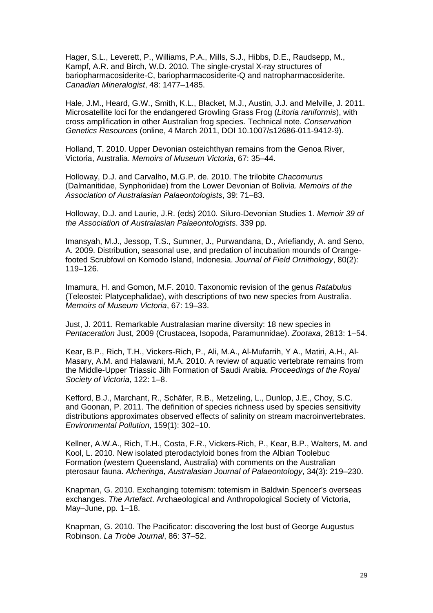Hager, S.L., Leverett, P., Williams, P.A., Mills, S.J., Hibbs, D.E., Raudsepp, M., Kampf, A.R. and Birch, W.D. 2010. The single-crystal X-ray structures of bariopharmacosiderite-C, bariopharmacosiderite-Q and natropharmacosiderite. *Canadian Mineralogist*, 48: 1477–1485.

Hale, J.M., Heard, G.W., Smith, K.L., Blacket, M.J., Austin, J.J. and Melville, J. 2011. Microsatellite loci for the endangered Growling Grass Frog (*Litoria raniformis*), with cross amplification in other Australian frog species. Technical note. *Conservation Genetics Resources* (online, 4 March 2011, DOI 10.1007/s12686-011-9412-9).

Holland, T. 2010. Upper Devonian osteichthyan remains from the Genoa River, Victoria, Australia. *Memoirs of Museum Victoria*, 67: 35–44.

Holloway, D.J. and Carvalho, M.G.P. de. 2010. The trilobite *Chacomurus* (Dalmanitidae, Synphoriidae) from the Lower Devonian of Bolivia. *Memoirs of the Association of Australasian Palaeontologists*, 39: 71–83.

Holloway, D.J. and Laurie, J.R. (eds) 2010. Siluro-Devonian Studies 1. *Memoir 39 of the Association of Australasian Palaeontologists*. 339 pp.

Imansyah, M.J., Jessop, T.S., Sumner, J., Purwandana, D., Ariefiandy, A. and Seno, A. 2009. Distribution, seasonal use, and predation of incubation mounds of Orangefooted Scrubfowl on Komodo Island, Indonesia. *Journal of Field Ornithology*, 80(2): 119–126.

Imamura, H. and Gomon, M.F. 2010. Taxonomic revision of the genus *Ratabulus* (Teleostei: Platycephalidae), with descriptions of two new species from Australia. *Memoirs of Museum Victoria*, 67: 19–33.

Just, J. 2011. Remarkable Australasian marine diversity: 18 new species in *Pentaceration* Just, 2009 (Crustacea, Isopoda, Paramunnidae). *Zootaxa*, 2813: 1–54.

Kear, B.P., Rich, T.H., Vickers-Rich, P., Ali, M.A., Al-Mufarrih, Y A., Matiri, A.H., Al-Masary, A.M. and Halawani, M.A. 2010. A review of aquatic vertebrate remains from the Middle-Upper Triassic Jilh Formation of Saudi Arabia. *Proceedings of the Royal Society of Victoria*, 122: 1–8.

Kefford, B.J., Marchant, R., Schäfer, R.B., Metzeling, L., Dunlop, J.E., Choy, S.C. and Goonan, P. 2011. The definition of species richness used by species sensitivity distributions approximates observed effects of salinity on stream macroinvertebrates. *Environmental Pollution*, 159(1): 302–10.

Kellner, A.W.A., Rich, T.H., Costa, F.R., Vickers-Rich, P., Kear, B.P., Walters, M. and Kool, L. 2010. New isolated pterodactyloid bones from the Albian Toolebuc Formation (western Queensland, Australia) with comments on the Australian pterosaur fauna. *Alcheringa, Australasian Journal of Palaeontology*, 34(3): 219–230.

Knapman, G. 2010. Exchanging totemism: totemism in Baldwin Spencer's overseas exchanges. *The Artefact*. Archaeological and Anthropological Society of Victoria, May–June, pp. 1–18.

Knapman, G. 2010. The Pacificator: discovering the lost bust of George Augustus Robinson. *La Trobe Journal*, 86: 37–52.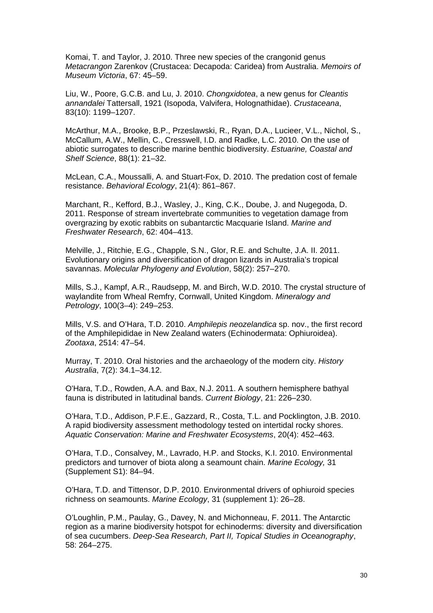Komai, T. and Taylor, J. 2010. Three new species of the crangonid genus *Metacrangon* Zarenkov (Crustacea: Decapoda: Caridea) from Australia. *Memoirs of Museum Victoria*, 67: 45–59.

Liu, W., Poore, G.C.B. and Lu, J. 2010. *Chongxidotea*, a new genus for *Cleantis annandalei* Tattersall, 1921 (Isopoda, Valvifera, Holognathidae). *Crustaceana*, 83(10): 1199–1207.

McArthur, M.A., Brooke, B.P., Przeslawski, R., Ryan, D.A., Lucieer, V.L., Nichol, S., McCallum, A.W., Mellin, C., Cresswell, I.D. and Radke, L.C. 2010. On the use of abiotic surrogates to describe marine benthic biodiversity. *Estuarine, Coastal and Shelf Science*, 88(1): 21–32.

McLean, C.A., Moussalli, A. and Stuart-Fox, D. 2010. The predation cost of female resistance. *Behavioral Ecology*, 21(4): 861–867.

Marchant, R., Kefford, B.J., Wasley, J., King, C.K., Doube, J. and Nugegoda, D. 2011. Response of stream invertebrate communities to vegetation damage from overgrazing by exotic rabbits on subantarctic Macquarie Island. *Marine and Freshwater Research*, 62: 404–413.

Melville, J., Ritchie, E.G., Chapple, S.N., Glor, R.E. and Schulte, J.A. II. 2011. Evolutionary origins and diversification of dragon lizards in Australia's tropical savannas. *Molecular Phylogeny and Evolution*, 58(2): 257–270.

Mills, S.J., Kampf, A.R., Raudsepp, M. and Birch, W.D. 2010. The crystal structure of waylandite from Wheal Remfry, Cornwall, United Kingdom. *Mineralogy and Petrology*, 100(3–4): 249–253.

Mills, V.S. and O'Hara, T.D. 2010. *Amphilepis neozelandica* sp. nov., the first record of the Amphilepididae in New Zealand waters (Echinodermata: Ophiuroidea). *Zootaxa*, 2514: 47–54.

Murray, T. 2010. Oral histories and the archaeology of the modern city. *History Australia*, 7(2): 34.1–34.12.

O'Hara, T.D., Rowden, A.A. and Bax, N.J. 2011. A southern hemisphere bathyal fauna is distributed in latitudinal bands. *Current Biology*, 21: 226–230.

O'Hara, T.D., Addison, P.F.E., Gazzard, R., Costa, T.L. and Pocklington, J.B. 2010. A rapid biodiversity assessment methodology tested on intertidal rocky shores. *Aquatic Conservation: Marine and Freshwater Ecosystems*, 20(4): 452–463.

O'Hara, T.D., Consalvey, M., Lavrado, H.P. and Stocks, K.I. 2010. Environmental predictors and turnover of biota along a seamount chain. *Marine Ecology,* 31 (Supplement S1): 84–94.

O'Hara, T.D. and Tittensor, D.P. 2010. Environmental drivers of ophiuroid species richness on seamounts. *Marine Ecology*, 31 (supplement 1): 26–28.

O'Loughlin, P.M., Paulay, G., Davey, N. and Michonneau, F. 2011. The Antarctic region as a marine biodiversity hotspot for echinoderms: diversity and diversification of sea cucumbers. *Deep-Sea Research, Part II, Topical Studies in Oceanography*, 58: 264–275.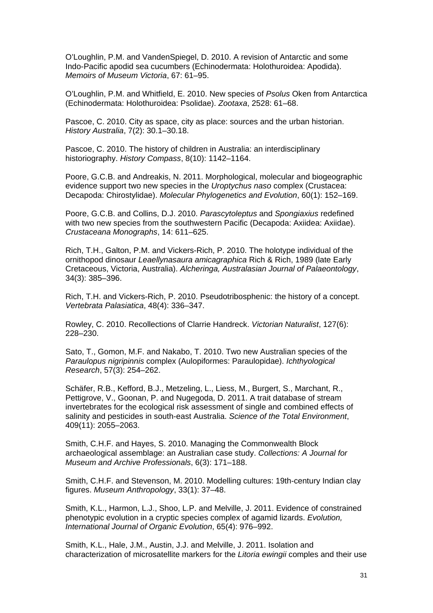O'Loughlin, P.M. and VandenSpiegel, D. 2010. A revision of Antarctic and some Indo-Pacific apodid sea cucumbers (Echinodermata: Holothuroidea: Apodida). *Memoirs of Museum Victoria*, 67: 61–95.

O'Loughlin, P.M. and Whitfield, E. 2010. New species of *Psolus* Oken from Antarctica (Echinodermata: Holothuroidea: Psolidae). *Zootaxa*, 2528: 61–68.

Pascoe, C. 2010. City as space, city as place: sources and the urban historian. *History Australia*, 7(2): 30.1–30.18.

Pascoe, C. 2010. The history of children in Australia: an interdisciplinary historiography. *History Compass*, 8(10): 1142–1164.

Poore, G.C.B. and Andreakis, N. 2011. Morphological, molecular and biogeographic evidence support two new species in the *Uroptychus naso* complex (Crustacea: Decapoda: Chirostylidae). *Molecular Phylogenetics and Evolution*, 60(1): 152–169.

Poore, G.C.B. and Collins, D.J. 2010. *Parascytoleptus* and *Spongiaxius* redefined with two new species from the southwestern Pacific (Decapoda: Axiidea: Axiidae). *Crustaceana Monographs*, 14: 611–625.

Rich, T.H., Galton, P.M. and Vickers-Rich, P. 2010. The holotype individual of the ornithopod dinosaur *Leaellynasaura amicagraphica* Rich & Rich, 1989 (late Early Cretaceous, Victoria, Australia). *Alcheringa, Australasian Journal of Palaeontology*, 34(3): 385–396.

Rich, T.H. and Vickers-Rich, P. 2010. Pseudotribosphenic: the history of a concept. *Vertebrata Palasiatica*, 48(4): 336–347.

Rowley, C. 2010. Recollections of Clarrie Handreck. *Victorian Naturalist*, 127(6): 228–230.

Sato, T., Gomon, M.F. and Nakabo, T. 2010. Two new Australian species of the *Paraulopus nigripinnis* complex (Aulopiformes: Paraulopidae). *Ichthyological Research*, 57(3): 254–262.

Schäfer, R.B., Kefford, B.J., Metzeling, L., Liess, M., Burgert, S., Marchant, R., Pettigrove, V., Goonan, P. and Nugegoda, D. 2011. A trait database of stream invertebrates for the ecological risk assessment of single and combined effects of salinity and pesticides in south-east Australia. *Science of the Total Environment*, 409(11): 2055–2063.

Smith, C.H.F. and Hayes, S. 2010. Managing the Commonwealth Block archaeological assemblage: an Australian case study. *Collections: A Journal for Museum and Archive Professionals*, 6(3): 171–188.

Smith, C.H.F. and Stevenson, M. 2010. Modelling cultures: 19th-century Indian clay figures. *Museum Anthropology*, 33(1): 37–48.

Smith, K.L., Harmon, L.J., Shoo, L.P. and Melville, J. 2011. Evidence of constrained phenotypic evolution in a cryptic species complex of agamid lizards. *Evolution, International Journal of Organic Evolution*, 65(4): 976–992.

Smith, K.L., Hale, J.M., Austin, J.J. and Melville, J. 2011. Isolation and characterization of microsatellite markers for the *Litoria ewingii* comples and their use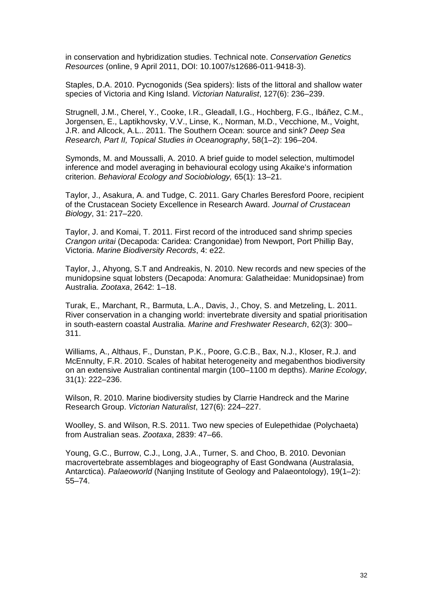in conservation and hybridization studies. Technical note. *Conservation Genetics Resources* (online, 9 April 2011, DOI: 10.1007/s12686-011-9418-3).

Staples, D.A. 2010. Pycnogonids (Sea spiders): lists of the littoral and shallow water species of Victoria and King Island. *Victorian Naturalist*, 127(6): 236–239.

Strugnell, J.M., Cherel, Y., Cooke, I.R., Gleadall, I.G., Hochberg, F.G., Ibáñez, C.M., Jorgensen, E., Laptikhovsky, V.V., Linse, K., Norman, M.D., Vecchione, M., Voight, J.R. and Allcock, A.L.. 2011. The Southern Ocean: source and sink? *Deep Sea Research, Part II, Topical Studies in Oceanography*, 58(1–2): 196–204.

Symonds, M. and Moussalli, A. 2010. A brief guide to model selection, multimodel inference and model averaging in behavioural ecology using Akaike's information criterion. *Behavioral Ecology and Sociobiology,* 65(1): 13–21.

Taylor, J., Asakura, A. and Tudge, C. 2011. Gary Charles Beresford Poore, recipient of the Crustacean Society Excellence in Research Award. *Journal of Crustacean Biology*, 31: 217–220.

Taylor, J. and Komai, T. 2011. First record of the introduced sand shrimp species *Crangon uritai* (Decapoda: Caridea: Crangonidae) from Newport, Port Phillip Bay, Victoria. *Marine Biodiversity Records*, 4: e22.

Taylor, J., Ahyong, S.T and Andreakis, N. 2010. New records and new species of the munidopsine squat lobsters (Decapoda: Anomura: Galatheidae: Munidopsinae) from Australia. *Zootaxa*, 2642: 1–18.

Turak, E.*,* Marchant, R.*,* Barmuta, L.A., Davis, J., Choy, S. and Metzeling, L. 2011. River conservation in a changing world: invertebrate diversity and spatial prioritisation in south-eastern coastal Australia. *Marine and Freshwater Research*, 62(3): 300– 311.

Williams, A., Althaus, F., Dunstan, P.K., Poore, G.C.B., Bax, N.J., Kloser, R.J. and McEnnulty, F.R. 2010. Scales of habitat heterogeneity and megabenthos biodiversity on an extensive Australian continental margin (100–1100 m depths). *Marine Ecology*, 31(1): 222–236.

Wilson, R. 2010. Marine biodiversity studies by Clarrie Handreck and the Marine Research Group. *Victorian Naturalist*, 127(6): 224–227.

Woolley, S. and Wilson, R.S. 2011. Two new species of Eulepethidae (Polychaeta) from Australian seas. *Zootaxa*, 2839: 47–66.

Young, G.C., Burrow, C.J., Long, J.A., Turner, S. and Choo, B. 2010. Devonian macrovertebrate assemblages and biogeography of East Gondwana (Australasia, Antarctica). *Palaeoworld* (Nanjing Institute of Geology and Palaeontology), 19(1–2): 55–74.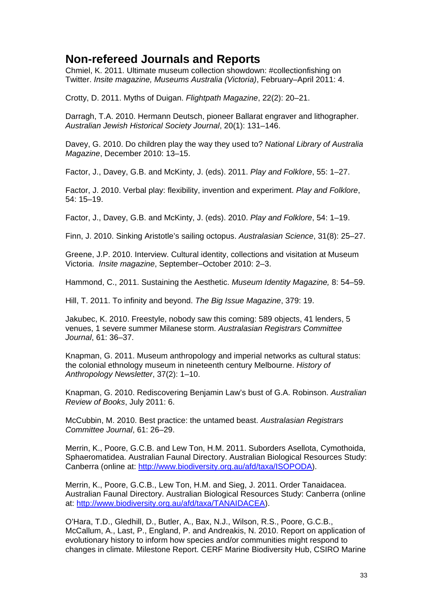### **Non-refereed Journals and Reports**

Chmiel, K. 2011. Ultimate museum collection showdown: #collectionfishing on Twitter. *Insite magazine, Museums Australia (Victoria)*, February–April 2011: 4.

Crotty, D. 2011. Myths of Duigan. *Flightpath Magazine*, 22(2): 20–21.

Darragh, T.A. 2010. Hermann Deutsch, pioneer Ballarat engraver and lithographer. *Australian Jewish Historical Society Journal*, 20(1): 131–146.

Davey, G. 2010. Do children play the way they used to? *National Library of Australia Magazine*, December 2010: 13–15.

Factor, J., Davey, G.B. and McKinty, J. (eds). 2011. *Play and Folklore*, 55: 1–27.

Factor, J. 2010. Verbal play: flexibility, invention and experiment. *Play and Folklore*, 54: 15–19.

Factor, J., Davey, G.B. and McKinty, J. (eds). 2010. *Play and Folklore*, 54: 1–19.

Finn, J. 2010. Sinking Aristotle's sailing octopus. *Australasian Science*, 31(8): 25–27.

Greene, J.P. 2010. Interview. Cultural identity, collections and visitation at Museum Victoria. *Insite magazine*, September–October 2010: 2–3.

Hammond, C., 2011. Sustaining the Aesthetic. *Museum Identity Magazine,* 8: 54–59.

Hill, T. 2011. To infinity and beyond. *The Big Issue Magazine*, 379: 19.

Jakubec, K. 2010. Freestyle, nobody saw this coming: 589 objects, 41 lenders, 5 venues, 1 severe summer Milanese storm. *Australasian Registrars Committee Journal*, 61: 36–37.

Knapman, G. 2011. Museum anthropology and imperial networks as cultural status: the colonial ethnology museum in nineteenth century Melbourne. *History of Anthropology Newsletter*, 37(2): 1–10.

Knapman, G. 2010. Rediscovering Benjamin Law's bust of G.A. Robinson. *Australian Review of Books*, July 2011: 6.

McCubbin, M. 2010. Best practice: the untamed beast. *Australasian Registrars Committee Journal*, 61: 26–29.

Merrin, K., Poore, G.C.B. and Lew Ton, H.M. 2011. Suborders Asellota, Cymothoida, Sphaeromatidea. Australian Faunal Directory. Australian Biological Resources Study: Canberra (online at: [http://www.biodiversity.org.au/afd/taxa/ISOPODA\)](http://www.biodiversity.org.au/afd/taxa/ISOPODA).

Merrin, K., Poore, G.C.B., Lew Ton, H.M. and Sieg, J. 2011. Order Tanaidacea. Australian Faunal Directory. Australian Biological Resources Study: Canberra (online at: [http://www.biodiversity.org.au/afd/taxa/TANAIDACEA\)](http://www.biodiversity.org.au/afd/taxa/TANAIDACEA).

O'Hara, T.D., Gledhill, D., Butler, A., Bax, N.J., Wilson, R.S., Poore, G.C.B., McCallum, A., Last, P., England, P. and Andreakis, N. 2010. Report on application of evolutionary history to inform how species and/or communities might respond to changes in climate. Milestone Report. CERF Marine Biodiversity Hub, CSIRO Marine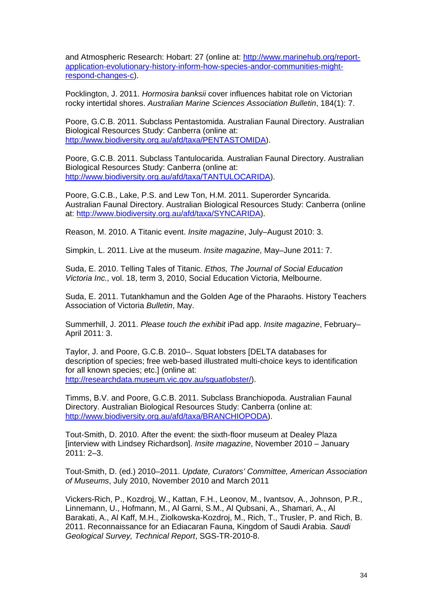and Atmospheric Research: Hobart: 27 (online at: [http://www.marinehub.org/report](http://www.marinehub.org/report-application-evolutionary-history-inform-how-species-andor-communities-might-respond-changes-c)[application-evolutionary-history-inform-how-species-andor-communities-might](http://www.marinehub.org/report-application-evolutionary-history-inform-how-species-andor-communities-might-respond-changes-c)[respond-changes-c\)](http://www.marinehub.org/report-application-evolutionary-history-inform-how-species-andor-communities-might-respond-changes-c).

Pocklington, J. 2011. *Hormosira banksii* cover influences habitat role on Victorian rocky intertidal shores. *Australian Marine Sciences Association Bulletin*, 184(1): 7.

Poore, G.C.B. 2011. Subclass Pentastomida. Australian Faunal Directory. Australian Biological Resources Study: Canberra (online at: [http://www.biodiversity.org.au/afd/taxa/PENTASTOMIDA\)](http://www.biodiversity.org.au/afd/taxa/PENTASTOMIDA).

Poore, G.C.B. 2011. Subclass Tantulocarida. Australian Faunal Directory. Australian Biological Resources Study: Canberra (online at: [http://www.biodiversity.org.au/afd/taxa/TANTULOCARIDA\)](http://www.biodiversity.org.au/afd/taxa/TANTULOCARIDA).

Poore, G.C.B., Lake, P.S. and Lew Ton, H.M. 2011. Superorder Syncarida. Australian Faunal Directory. Australian Biological Resources Study: Canberra (online at: [http://www.biodiversity.org.au/afd/taxa/SYNCARIDA\)](http://www.biodiversity.org.au/afd/taxa/SYNCARIDA).

Reason, M. 2010. A Titanic event. *Insite magazine*, July–August 2010: 3.

Simpkin, L. 2011. Live at the museum. *Insite magazine*, May–June 2011: 7.

Suda, E. 2010. Telling Tales of Titanic. *Ethos, The Journal of Social Education Victoria Inc.,* vol. 18, term 3, 2010, Social Education Victoria, Melbourne.

Suda, E. 2011. Tutankhamun and the Golden Age of the Pharaohs. History Teachers Association of Victoria *Bulletin*, May.

Summerhill, J. 2011. *Please touch the exhibit* iPad app. *Insite magazine*, February– April 2011: 3.

Taylor, J. and Poore, G.C.B. 2010–. Squat lobsters [DELTA databases for description of species; free web-based illustrated multi-choice keys to identification for all known species; etc.] (online at: [http://researchdata.museum.vic.gov.au/squatlobster/\)](http://researchdata.museum.vic.gov.au/squatlobster/).

Timms, B.V. and Poore, G.C.B. 2011. Subclass Branchiopoda. Australian Faunal Directory. Australian Biological Resources Study: Canberra (online at: [http://www.biodiversity.org.au/afd/taxa/BRANCHIOPODA\)](http://www.biodiversity.org.au/afd/taxa/BRANCHIOPODA).

Tout-Smith, D. 2010. After the event: the sixth-floor museum at Dealey Plaza [interview with Lindsey Richardson]. *Insite magazine*, November 2010 – January 2011: 2–3.

Tout-Smith, D. (ed.) 2010–2011. *Update, Curators' Committee, American Association of Museums*, July 2010, November 2010 and March 2011

Vickers-Rich, P., Kozdroj, W., Kattan, F.H., Leonov, M., Ivantsov, A., Johnson, P.R., Linnemann, U., Hofmann, M., Al Garni, S.M., Al Qubsani, A., Shamari, A., Al Barakati, A., Al Kaff, M.H., Ziolkowska-Kozdroj, M., Rich, T., Trusler, P. and Rich, B. 2011. Reconnaissance for an Ediacaran Fauna, Kingdom of Saudi Arabia. *Saudi Geological Survey, Technical Report*, SGS-TR-2010-8.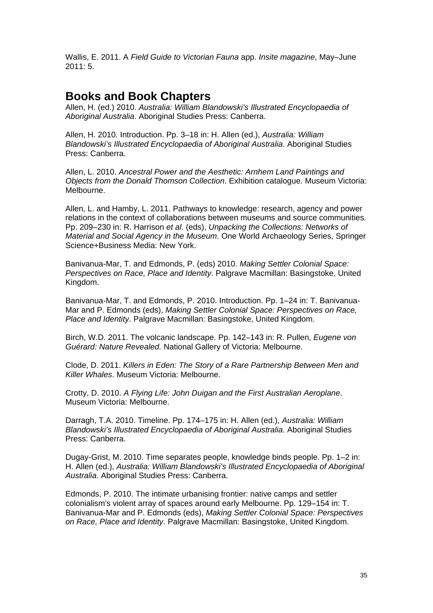Wallis, E. 2011. A *Field Guide to Victorian Fauna* app. *Insite magazine*, May–June 2011: 5.

### **Books and Book Chapters**

Allen, H. (ed.) 2010. *Australia: William Blandowski's Illustrated Encyclopaedia of Aboriginal Australia*. Aboriginal Studies Press: Canberra.

Allen, H. 2010. Introduction. Pp. 3–18 in: H. Allen (ed.), *Australia: William Blandowski's Illustrated Encyclopaedia of Aboriginal Australia*. Aboriginal Studies Press: Canberra.

Allen, L. 2010. *Ancestral Power and the Aesthetic: Arnhem Land Paintings and Objects from the Donald Thomson Collection*. Exhibition catalogue. Museum Victoria: Melbourne.

Allen, L. and Hamby, L. 2011. Pathways to knowledge: research, agency and power relations in the context of collaborations between museums and source communities. Pp. 209–230 in: R. Harrison *et al.* (eds), *Unpacking the Collections: Networks of Material and Social Agency in the Museum*. One World Archaeology Series, Springer Science+Business Media: New York.

Banivanua-Mar, T. and Edmonds, P. (eds) 2010. *Making Settler Colonial Space: Perspectives on Race, Place and Identity*. Palgrave Macmillan: Basingstoke, United Kingdom.

Banivanua-Mar, T. and Edmonds, P. 2010. Introduction. Pp. 1–24 in: T. Banivanua-Mar and P. Edmonds (eds), *Making Settler Colonial Space: Perspectives on Race, Place and Identity*. Palgrave Macmillan: Basingstoke, United Kingdom.

Birch, W.D. 2011. The volcanic landscape. Pp. 142–143 in: R. Pullen, *Eugene von Guérard: Nature Revealed.* National Gallery of Victoria: Melbourne.

Clode, D. 2011. *Killers in Eden: The Story of a Rare Partnership Between Men and Killer Whales*. Museum Victoria: Melbourne.

Crotty, D. 2010. *A Flying Life: John Duigan and the First Australian Aeroplane*. Museum Victoria: Melbourne.

Darragh, T.A. 2010. Timeline. Pp. 174–175 in: H. Allen (ed.), *Australia: William Blandowski's Illustrated Encyclopaedia of Aboriginal Australia*. Aboriginal Studies Press: Canberra.

Dugay-Grist, M. 2010. Time separates people, knowledge binds people. Pp. 1–2 in: H. Allen (ed.), *Australia: William Blandowski's Illustrated Encyclopaedia of Aboriginal Australia*. Aboriginal Studies Press: Canberra.

Edmonds, P. 2010. The intimate urbanising frontier: native camps and settler colonialism's violent array of spaces around early Melbourne. Pp. 129–154 in: T. Banivanua-Mar and P. Edmonds (eds), *Making Settler Colonial Space: Perspectives on Race, Place and Identity*. Palgrave Macmillan: Basingstoke, United Kingdom.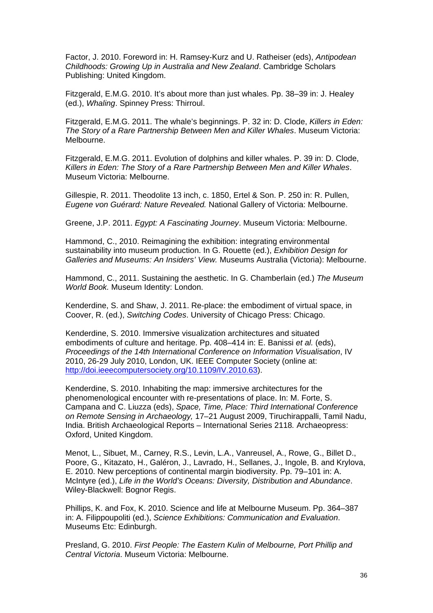Factor, J. 2010. Foreword in: H. Ramsey-Kurz and U. Ratheiser (eds), *Antipodean Childhoods: Growing Up in Australia and New Zealand*. Cambridge Scholars Publishing: United Kingdom.

Fitzgerald, E.M.G. 2010. It's about more than just whales. Pp. 38–39 in: J. Healey (ed.), *Whaling*. Spinney Press: Thirroul.

Fitzgerald, E.M.G. 2011. The whale's beginnings. P. 32 in: D. Clode, *Killers in Eden: The Story of a Rare Partnership Between Men and Killer Whales*. Museum Victoria: Melbourne.

Fitzgerald, E.M.G. 2011. Evolution of dolphins and killer whales. P. 39 in: D. Clode, *Killers in Eden: The Story of a Rare Partnership Between Men and Killer Whales*. Museum Victoria: Melbourne.

Gillespie, R. 2011. Theodolite 13 inch, c. 1850, Ertel & Son. P. 250 in: R. Pullen, *Eugene von Guérard: Nature Revealed.* National Gallery of Victoria: Melbourne.

Greene, J.P. 2011. *Egypt: A Fascinating Journey*. Museum Victoria: Melbourne.

Hammond, C., 2010. Reimagining the exhibition: integrating environmental sustainability into museum production. In G. Rouette (ed.), *Exhibition Design for Galleries and Museums: An Insiders' View.* Museums Australia (Victoria): Melbourne.

Hammond, C., 2011. Sustaining the aesthetic. In G. Chamberlain (ed.) *The Museum World Book.* Museum Identity: London.

Kenderdine, S. and Shaw, J. 2011. Re-place: the embodiment of virtual space, in Coover, R. (ed.), *Switching Codes*. University of Chicago Press: Chicago.

Kenderdine, S. 2010. Immersive visualization architectures and situated embodiments of culture and heritage. Pp. 408–414 in: E. Banissi *et al.* (eds), *Proceedings of the 14th International Conference on Information Visualisation*, IV 2010, 26-29 July 2010, London, UK. IEEE Computer Society (online at: [http://doi.ieeecomputersociety.org/10.1109/IV.2010.63\)](http://doi.ieeecomputersociety.org/10.1109/IV.2010.63).

Kenderdine, S. 2010. Inhabiting the map: immersive architectures for the phenomenological encounter with re-presentations of place. In: M. Forte, S. Campana and C. Liuzza (eds), *Space, Time, Place: Third International Conference on Remote Sensing in Archaeology,* 17–21 August 2009, Tiruchirappalli, Tamil Nadu, India. British Archaeological Reports – International Series 2118*.* Archaeopress: Oxford, United Kingdom.

Menot, L., Sibuet, M., Carney, R.S., Levin, L.A., Vanreusel, A., Rowe, G., Billet D., Poore, G., Kitazato, H., Galéron, J., Lavrado, H., Sellanes, J., Ingole, B. and Krylova, E. 2010. New perceptions of continental margin biodiversity. Pp. 79–101 in: A. McIntyre (ed.), *Life in the World's Oceans: Diversity, Distribution and Abundance*. Wiley-Blackwell: Bognor Regis.

Phillips, K. and Fox, K. 2010. Science and life at Melbourne Museum. Pp. 364–387 in: A. Filippoupoliti (ed.), *Science Exhibitions: Communication and Evaluation*. Museums Etc: Edinburgh.

Presland, G. 2010. *First People: The Eastern Kulin of Melbourne, Port Phillip and Central Victoria*. Museum Victoria: Melbourne.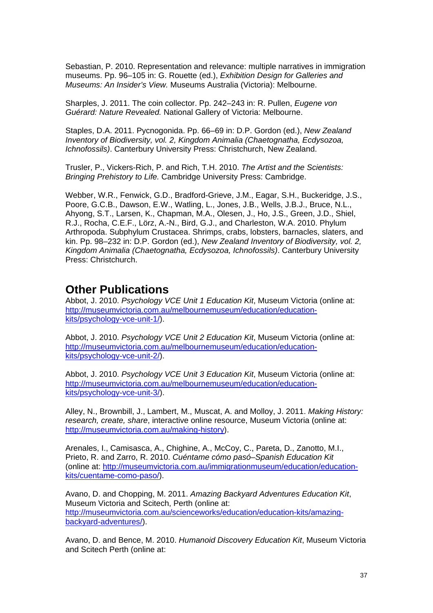Sebastian, P. 2010. Representation and relevance: multiple narratives in immigration museums. Pp. 96–105 in: G. Rouette (ed.), *Exhibition Design for Galleries and Museums: An Insider's View.* Museums Australia (Victoria): Melbourne.

Sharples, J. 2011. The coin collector. Pp. 242–243 in: R. Pullen, *Eugene von Guérard: Nature Revealed.* National Gallery of Victoria: Melbourne.

Staples, D.A. 2011. Pycnogonida. Pp. 66–69 in: D.P. Gordon (ed.), *New Zealand Inventory of Biodiversity, vol. 2, Kingdom Animalia (Chaetognatha, Ecdysozoa, Ichnofossils)*. Canterbury University Press: Christchurch, New Zealand.

Trusler, P., Vickers-Rich, P. and Rich, T.H. 2010. *The Artist and the Scientists: Bringing Prehistory to Life.* Cambridge University Press: Cambridge.

Webber, W.R., Fenwick, G.D., Bradford-Grieve, J.M., Eagar, S.H., Buckeridge, J.S., Poore, G.C.B., Dawson, E.W., Watling, L., Jones, J.B., Wells, J.B.J., Bruce, N.L., Ahyong, S.T., Larsen, K., Chapman, M.A., Olesen, J., Ho, J.S., Green, J.D., Shiel, R.J., Rocha, C.E.F., Lörz, A.-N., Bird, G.J., and Charleston, W.A. 2010. Phylum Arthropoda. Subphylum Crustacea. Shrimps, crabs, lobsters, barnacles, slaters, and kin. Pp. 98–232 in: D.P. Gordon (ed.), *New Zealand Inventory of Biodiversity, vol. 2, Kingdom Animalia (Chaetognatha, Ecdysozoa, Ichnofossils)*. Canterbury University Press: Christchurch.

### **Other Publications**

Abbot, J. 2010. *Psychology VCE Unit 1 Education Kit*, Museum Victoria (online at: [http://museumvictoria.com.au/melbournemuseum/education/education](http://museumvictoria.com.au/melbournemuseum/education/education-kits/psychology-vce-unit-1/)[kits/psychology-vce-unit-1/\)](http://museumvictoria.com.au/melbournemuseum/education/education-kits/psychology-vce-unit-1/).

Abbot, J. 2010. *Psychology VCE Unit 2 Education Kit*, Museum Victoria (online at: [http://museumvictoria.com.au/melbournemuseum/education/education](http://museumvictoria.com.au/melbournemuseum/education/education-kits/psychology-vce-unit-2/)[kits/psychology-vce-unit-2/\)](http://museumvictoria.com.au/melbournemuseum/education/education-kits/psychology-vce-unit-2/).

Abbot, J. 2010. *Psychology VCE Unit 3 Education Kit*, Museum Victoria (online at: [http://museumvictoria.com.au/melbournemuseum/education/education](http://museumvictoria.com.au/melbournemuseum/education/education-kits/psychology-vce-unit-3/)[kits/psychology-vce-unit-3/\)](http://museumvictoria.com.au/melbournemuseum/education/education-kits/psychology-vce-unit-3/).

Alley, N., Brownbill, J., Lambert, M., Muscat, A. and Molloy, J. 2011. *Making History: research, create, share*, interactive online resource, Museum Victoria (online at: [http://museumvictoria.com.au/making-history\)](http://museumvictoria.com.au/making-history).

Arenales, I., Camisasca, A., Chighine, A., McCoy, C., Pareta, D., Zanotto, M.I., Prieto, R. and Zarro, R. 2010. *Cuéntame cómo pasó–Spanish Education Kit* (online at: [http://museumvictoria.com.au/immigrationmuseum/education/education](http://museumvictoria.com.au/immigrationmuseum/education/education-kits/cuentame-como-paso/)[kits/cuentame-como-paso/\)](http://museumvictoria.com.au/immigrationmuseum/education/education-kits/cuentame-como-paso/).

Avano, D. and Chopping, M. 2011. *Amazing Backyard Adventures Education Kit*, Museum Victoria and Scitech, Perth (online at: [http://museumvictoria.com.au/scienceworks/education/education-kits/amazing](http://museumvictoria.com.au/scienceworks/education/education-kits/amazing-backyard-adventures/)[backyard-adventures/\)](http://museumvictoria.com.au/scienceworks/education/education-kits/amazing-backyard-adventures/).

Avano, D. and Bence, M. 2010. *Humanoid Discovery Education Kit*, Museum Victoria and Scitech Perth (online at: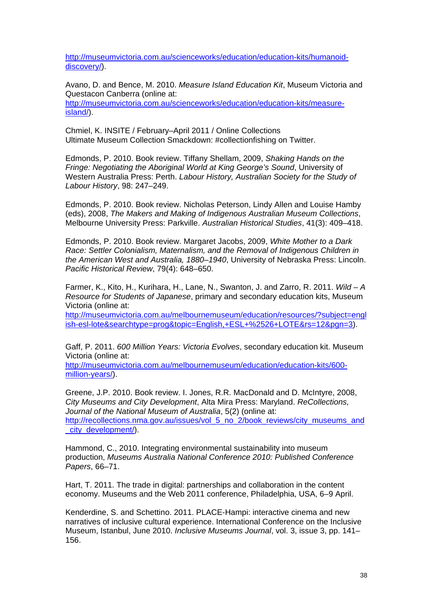[http://museumvictoria.com.au/scienceworks/education/education-kits/humanoid](http://museumvictoria.com.au/scienceworks/education/education-kits/humanoid-discovery/)[discovery/\)](http://museumvictoria.com.au/scienceworks/education/education-kits/humanoid-discovery/).

Avano, D. and Bence, M. 2010. *Measure Island Education Kit*, Museum Victoria and Questacon Canberra (online at:

[http://museumvictoria.com.au/scienceworks/education/education-kits/measure](http://museumvictoria.com.au/scienceworks/education/education-kits/measure-island/)[island/\)](http://museumvictoria.com.au/scienceworks/education/education-kits/measure-island/).

Chmiel, K. INSITE / February–April 2011 / Online Collections Ultimate Museum Collection Smackdown: #collectionfishing on Twitter.

Edmonds, P. 2010. Book review. Tiffany Shellam, 2009, *Shaking Hands on the Fringe: Negotiating the Aboriginal World at King George's Sound*, University of Western Australia Press: Perth. *Labour History, Australian Society for the Study of Labour History*, 98: 247–249.

Edmonds, P. 2010. Book review. Nicholas Peterson, Lindy Allen and Louise Hamby (eds), 2008, *The Makers and Making of Indigenous Australian Museum Collections*, Melbourne University Press: Parkville. *Australian Historical Studies*, 41(3): 409–418.

Edmonds, P. 2010. Book review. Margaret Jacobs, 2009, *White Mother to a Dark Race: Settler Colonialism, Maternalism, and the Removal of Indigenous Children in the American West and Australia, 1880–1940*, University of Nebraska Press: Lincoln. *Pacific Historical Review*, 79(4): 648–650.

Farmer, K., Kito, H., Kurihara, H., Lane, N., Swanton, J. and Zarro, R. 2011. *Wild – A Resource for Students of Japanese*, primary and secondary education kits, Museum Victoria (online at:

[http://museumvictoria.com.au/melbournemuseum/education/resources/?subject=engl](http://museumvictoria.com.au/melbournemuseum/education/resources/?subject=english-esl-lote&searchtype=prog&topic=English,+ESL+%2526+LOTE&rs=12&pgn=3) [ish-esl-lote&searchtype=prog&topic=English,+ESL+%2526+LOTE&rs=12&pgn=3\)](http://museumvictoria.com.au/melbournemuseum/education/resources/?subject=english-esl-lote&searchtype=prog&topic=English,+ESL+%2526+LOTE&rs=12&pgn=3).

Gaff, P. 2011. *600 Million Years: Victoria Evolves*, secondary education kit. Museum Victoria (online at:

[http://museumvictoria.com.au/melbournemuseum/education/education-kits/600](http://museumvictoria.com.au/melbournemuseum/education/education-kits/600-million-years/) [million-years/\)](http://museumvictoria.com.au/melbournemuseum/education/education-kits/600-million-years/).

Greene, J.P. 2010. Book review. I. Jones, R.R. MacDonald and D. McIntyre, 2008, *City Museums and City Development*, Alta Mira Press: Maryland. *ReCollections, Journal of the National Museum of Australia*, 5(2) (online at: [http://recollections.nma.gov.au/issues/vol\\_5\\_no\\_2/book\\_reviews/city\\_museums\\_and](http://recollections.nma.gov.au/issues/vol_5_no_2/book_reviews/city_museums_and_city_development/) city\_development/).

Hammond, C., 2010. Integrating environmental sustainability into museum production, *Museums Australia National Conference 2010: Published Conference Papers*, 66–71.

Hart, T. 2011. [The trade in digital: partnerships and collaboration in the content](http://conference.archimuse.com/mw2011/papers/the_trade_in_digital_partnerships_and_collabor)  [economy.](http://conference.archimuse.com/mw2011/papers/the_trade_in_digital_partnerships_and_collabor) Museums and the Web 2011 conference, Philadelphia, USA, 6–9 April.

Kenderdine, S. and Schettino. 2011. PLACE-Hampi: interactive cinema and new narratives of inclusive cultural experience. International Conference on the Inclusive Museum, Istanbul, June 2010. *Inclusive Museums Journal*, vol. 3, issue 3, pp. 141– 156.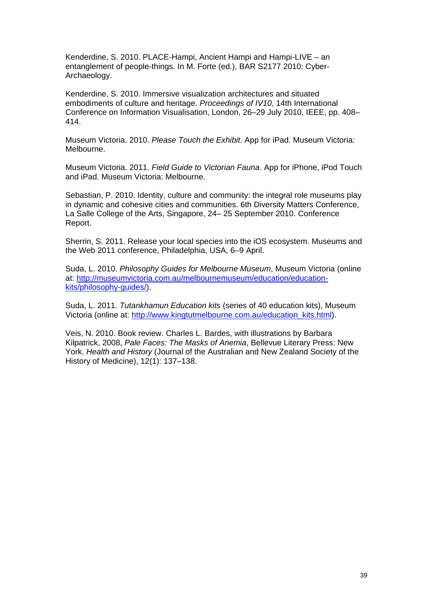Kenderdine, S. 2010. PLACE-Hampi, Ancient Hampi and Hampi-LIVE – an entanglement of people-things. In M. Forte (ed.), BAR S2177 2010: Cyber-Archaeology.

Kenderdine, S. 2010. Immersive visualization architectures and situated embodiments of culture and heritage. *Proceedings of IV10*, 14th International Conference on Information Visualisation, London, 26–29 July 2010, IEEE, pp. 408– 414.

Museum Victoria. 2010. *Please Touch the Exhibit*. App for iPad. Museum Victoria: Melbourne.

Museum Victoria. 2011. *Field Guide to Victorian Fauna*. App for iPhone, iPod Touch and iPad. Museum Victoria: Melbourne.

Sebastian, P. 2010. Identity, culture and community: the integral role museums play in dynamic and cohesive cities and communities. 6th Diversity Matters Conference, La Salle College of the Arts, Singapore, 24– 25 September 2010. Conference Report.

Sherrin, S. 2011. [Release your local species into the iOS ecosystem. M](http://conference.archimuse.com/mw2011/papers/release_your_local_species_into_the_ios_ecosys)useums and the Web 2011 conference, Philadelphia, USA, 6–9 April.

Suda, L. 2010. *Philosophy Guides for Melbourne Museum*, Museum Victoria (online at: [http://museumvictoria.com.au/melbournemuseum/education/education](http://museumvictoria.com.au/melbournemuseum/education/education-kits/philosophy-guides/)[kits/philosophy-guides/\)](http://museumvictoria.com.au/melbournemuseum/education/education-kits/philosophy-guides/).

Suda, L. 2011. *Tutankhamun Education kits* (series of 40 education kits), Museum Victoria (online at: [http://www.kingtutmelbourne.com.au/education\\_kits.html\)](http://www.kingtutmelbourne.com.au/education_kits.html).

Veis, N. 2010. Book review. Charles L. Bardes, with illustrations by Barbara Kilpatrick, 2008, *Pale Faces: The Masks of Anemia*, Bellevue Literary Press: New York. *Health and History* (Journal of the Australian and New Zealand Society of the History of Medicine), 12(1): 137–138.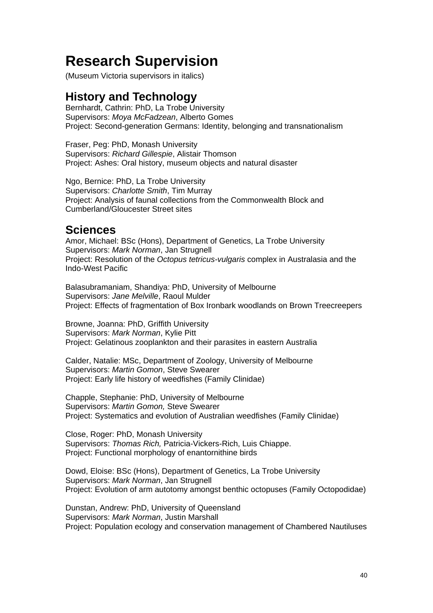## <span id="page-39-0"></span>**Research Supervision**

(Museum Victoria supervisors in italics)

### **History and Technology**

Bernhardt, Cathrin: PhD, La Trobe University Supervisors: *Moya McFadzean*, Alberto Gomes Project: Second-generation Germans: Identity, belonging and transnationalism

Fraser, Peg: PhD, Monash University Supervisors: *Richard Gillespie*, Alistair Thomson Project: Ashes: Oral history, museum objects and natural disaster

Ngo, Bernice: PhD, La Trobe University Supervisors: *Charlotte Smith*, Tim Murray Project: Analysis of faunal collections from the Commonwealth Block and Cumberland/Gloucester Street sites

### **Sciences**

Amor, Michael: BSc (Hons), Department of Genetics, La Trobe University Supervisors: *Mark Norman*, Jan Strugnell Project: Resolution of the *Octopus tetricus-vulgaris* complex in Australasia and the Indo-West Pacific

Balasubramaniam, Shandiya: PhD, University of Melbourne Supervisors: *Jane Melville*, Raoul Mulder Project: Effects of fragmentation of Box Ironbark woodlands on Brown Treecreepers

Browne, Joanna: PhD, Griffith University Supervisors: *Mark Norman*, Kylie Pitt Project: Gelatinous zooplankton and their parasites in eastern Australia

Calder, Natalie: MSc, Department of Zoology, University of Melbourne Supervisors: *Martin Gomon*, Steve Swearer Project: Early life history of weedfishes (Family Clinidae)

Chapple, Stephanie: PhD, University of Melbourne Supervisors: *Martin Gomon,* Steve Swearer Project: Systematics and evolution of Australian weedfishes (Family Clinidae)

Close, Roger: PhD, Monash University Supervisors: *Thomas Rich,* Patricia-Vickers-Rich, Luis Chiappe. Project: Functional morphology of enantornithine birds

Dowd, Eloise: BSc (Hons), Department of Genetics, La Trobe University Supervisors: *Mark Norman*, Jan Strugnell Project: Evolution of arm autotomy amongst benthic octopuses (Family Octopodidae)

Dunstan, Andrew: PhD, University of Queensland Supervisors: *Mark Norman*, Justin Marshall Project: Population ecology and conservation management of Chambered Nautiluses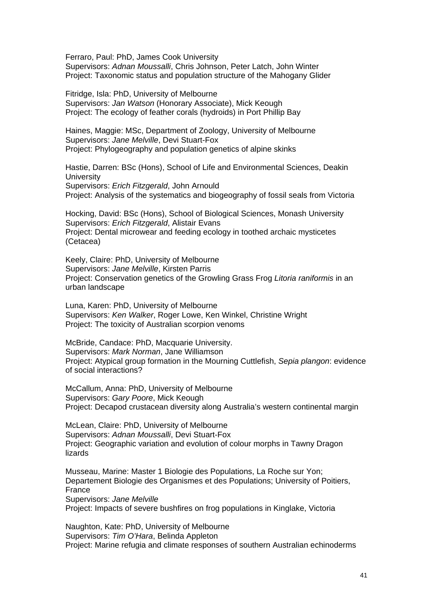Ferraro, Paul: PhD, James Cook University Supervisors: *Adnan Moussalli*, Chris Johnson, Peter Latch, John Winter Project: Taxonomic status and population structure of the Mahogany Glider

Fitridge, Isla: PhD, University of Melbourne Supervisors: *Jan Watson* (Honorary Associate), Mick Keough Project: The ecology of feather corals (hydroids) in Port Phillip Bay

Haines, Maggie: MSc, Department of Zoology, University of Melbourne Supervisors: *Jane Melville*, Devi Stuart-Fox Project: Phylogeography and population genetics of alpine skinks

Hastie, Darren: BSc (Hons), School of Life and Environmental Sciences, Deakin **University** Supervisors: *Erich Fitzgerald*, John Arnould Project: Analysis of the systematics and biogeography of fossil seals from Victoria

Hocking, David: BSc (Hons), School of Biological Sciences, Monash University Supervisors: *Erich Fitzgerald*, Alistair Evans Project: Dental microwear and feeding ecology in toothed archaic mysticetes (Cetacea)

Keely, Claire: PhD, University of Melbourne Supervisors: *Jane Melville*, Kirsten Parris Project: Conservation genetics of the Growling Grass Frog *Litoria raniformis* in an urban landscape

Luna, Karen: PhD, University of Melbourne Supervisors: *Ken Walker*, Roger Lowe, Ken Winkel, Christine Wright Project: The toxicity of Australian scorpion venoms

McBride, Candace: PhD, Macquarie University. Supervisors: *Mark Norman*, Jane Williamson Project: Atypical group formation in the Mourning Cuttlefish, *Sepia plangon*: evidence of social interactions?

McCallum, Anna: PhD, University of Melbourne Supervisors: *Gary Poore*, Mick Keough Project: Decapod crustacean diversity along Australia's western continental margin

McLean, Claire: PhD, University of Melbourne Supervisors: *Adnan Moussalli*, Devi Stuart-Fox Project: Geographic variation and evolution of colour morphs in Tawny Dragon lizards

Musseau, Marine: Master 1 Biologie des Populations, La Roche sur Yon; Departement Biologie des Organismes et des Populations; University of Poitiers, France Supervisors: *Jane Melville*

Project: Impacts of severe bushfires on frog populations in Kinglake, Victoria

Naughton, Kate: PhD, University of Melbourne Supervisors: *Tim O'Hara*, Belinda Appleton Project: Marine refugia and climate responses of southern Australian echinoderms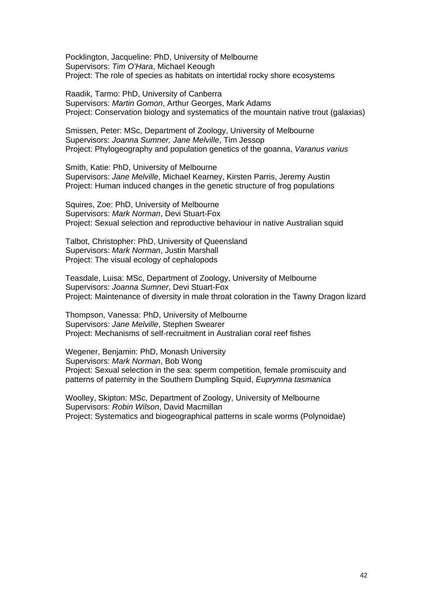Pocklington, Jacqueline: PhD, University of Melbourne Supervisors: *Tim O'Hara*, Michael Keough Project: The role of species as habitats on intertidal rocky shore ecosystems

Raadik, Tarmo: PhD, University of Canberra Supervisors: *Martin Gomon*, Arthur Georges, Mark Adams Project: Conservation biology and systematics of the mountain native trout (galaxias)

Smissen, Peter: MSc, Department of Zoology, University of Melbourne Supervisors: *Joanna Sumner, Jane Melville*, Tim Jessop Project: Phylogeography and population genetics of the goanna, *Varanus varius*

Smith, Katie: PhD, University of Melbourne Supervisors: *Jane Melville*, Michael Kearney, Kirsten Parris, Jeremy Austin Project: Human induced changes in the genetic structure of frog populations

Squires, Zoe: PhD, University of Melbourne Supervisors: *Mark Norman*, Devi Stuart-Fox Project: Sexual selection and reproductive behaviour in native Australian squid

Talbot, Christopher: PhD, University of Queensland Supervisors: *Mark Norman*, Justin Marshall Project: The visual ecology of cephalopods

Teasdale, Luisa: MSc, Department of Zoology, University of Melbourne Supervisors: *Joanna Sumner*, Devi Stuart-Fox Project: Maintenance of diversity in male throat coloration in the Tawny Dragon lizard

Thompson, Vanessa: PhD, University of Melbourne Supervisors: *Jane Melville*, Stephen Swearer Project: Mechanisms of self-recruitment in Australian coral reef fishes

Wegener, Benjamin: PhD, Monash University Supervisors: *Mark Norman*, Bob Wong Project: Sexual selection in the sea: sperm competition, female promiscuity and patterns of paternity in the Southern Dumpling Squid, *Euprymna tasmanica*

Woolley, Skipton: MSc, Department of Zoology, University of Melbourne Supervisors: *Robin Wilson*, David Macmillan Project: Systematics and biogeographical patterns in scale worms (Polynoidae)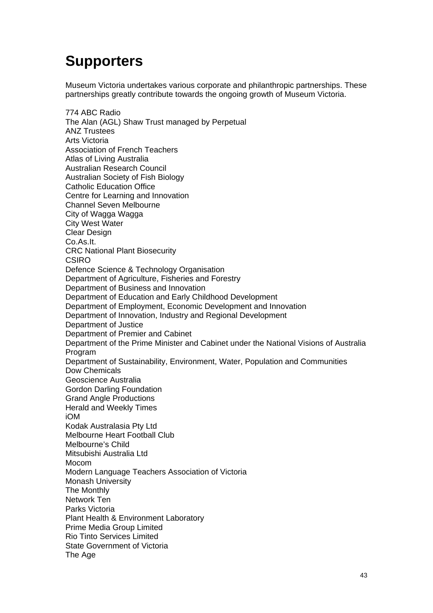## <span id="page-42-0"></span>**Supporters**

Museum Victoria undertakes various corporate and philanthropic partnerships. These partnerships greatly contribute towards the ongoing growth of Museum Victoria.

774 ABC Radio The Alan (AGL) Shaw Trust managed by Perpetual ANZ Trustees Arts Victoria Association of French Teachers Atlas of Living Australia Australian Research Council Australian Society of Fish Biology Catholic Education Office Centre for Learning and Innovation Channel Seven Melbourne City of Wagga Wagga City West Water Clear Design Co.As.It. CRC National Plant Biosecurity **CSIRO** Defence Science & Technology Organisation Department of Agriculture, Fisheries and Forestry Department of Business and Innovation Department of Education and Early Childhood Development Department of Employment, Economic Development and Innovation Department of Innovation, Industry and Regional Development Department of Justice Department of Premier and Cabinet Department of the Prime Minister and Cabinet under the National Visions of Australia Program Department of Sustainability, Environment, Water, Population and Communities Dow Chemicals Geoscience Australia Gordon Darling Foundation Grand Angle Productions Herald and Weekly Times iOM Kodak Australasia Pty Ltd Melbourne Heart Football Club Melbourne's Child Mitsubishi Australia Ltd Mocom Modern Language Teachers Association of Victoria Monash University The Monthly Network Ten Parks Victoria Plant Health & Environment Laboratory Prime Media Group Limited Rio Tinto Services Limited State Government of Victoria The Age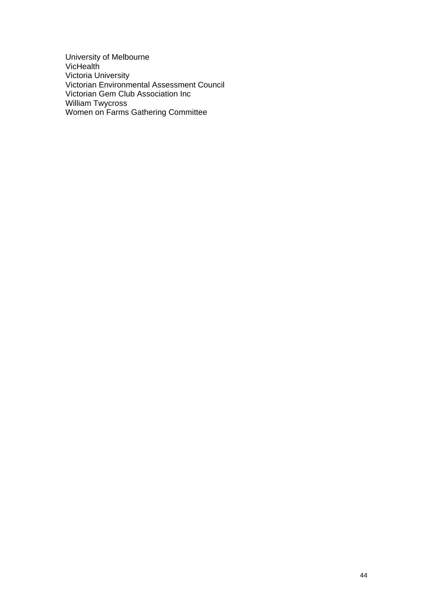University of Melbourne **VicHealth** Victoria University Victorian Environmental Assessment Council Victorian Gem Club Association Inc William Twycross Women on Farms Gathering Committee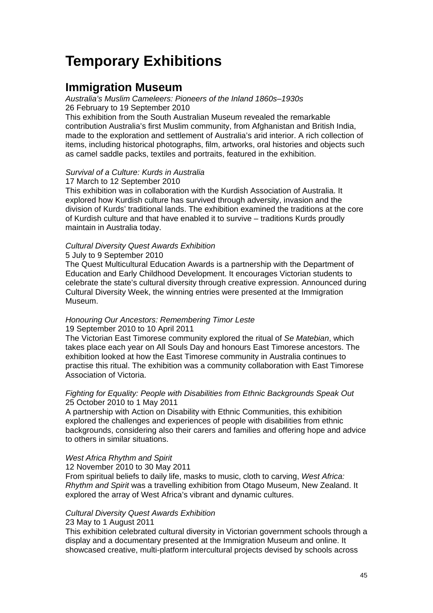## <span id="page-44-0"></span>**Temporary Exhibitions**

### **Immigration Museum**

*Australia's Muslim Cameleers: Pioneers of the Inland 1860s–1930s* 26 February to 19 September 2010

This exhibition from the South Australian Museum revealed the remarkable contribution Australia's first Muslim community, from Afghanistan and British India, made to the exploration and settlement of Australia's arid interior. A rich collection of items, including historical photographs, film, artworks, oral histories and objects such as camel saddle packs, textiles and portraits, featured in the exhibition.

### *Survival of a Culture: Kurds in Australia*

17 March to 12 September 2010

This exhibition was in collaboration with the Kurdish Association of Australia. It explored how Kurdish culture has survived through adversity, invasion and the division of Kurds' traditional lands. The exhibition examined the traditions at the core of Kurdish culture and that have enabled it to survive – traditions Kurds proudly maintain in Australia today.

### *Cultural Diversity Quest Awards Exhibition*

5 July to 9 September 2010

The Quest Multicultural Education Awards is a partnership with the Department of Education and Early Childhood Development. It encourages Victorian students to celebrate the state's cultural diversity through creative expression. Announced during Cultural Diversity Week, the winning entries were presented at the Immigration Museum.

### *Honouring Our Ancestors: Remembering Timor Leste*  19 September 2010 to 10 April 2011

The Victorian East Timorese community explored the ritual of *Se Matebian*, which takes place each year on All Souls Day and honours East Timorese ancestors. The exhibition looked at how the East Timorese community in Australia continues to practise this ritual. The exhibition was a community collaboration with East Timorese Association of Victoria.

### *Fighting for Equality: People with Disabilities from Ethnic Backgrounds Speak Out* 25 October 2010 to 1 May 2011

A partnership with Action on Disability with Ethnic Communities, this exhibition explored the challenges and experiences of people with disabilities from ethnic backgrounds, considering also their carers and families and offering hope and advice to others in similar situations.

### *West Africa Rhythm and Spirit*

12 November 2010 to 30 May 2011

From spiritual beliefs to daily life, masks to music, cloth to carving, *West Africa: Rhythm and Spirit* was a travelling exhibition from Otago Museum, New Zealand. It explored the array of West Africa's vibrant and dynamic cultures.

### *Cultural Diversity Quest Awards Exhibition*

### 23 May to 1 August 2011

This exhibition celebrated cultural diversity in Victorian government schools through a display and a documentary presented at the Immigration Museum and online. It showcased creative, multi-platform intercultural projects devised by schools across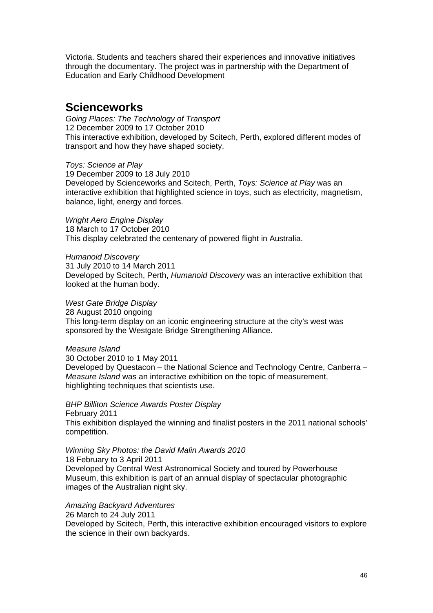Victoria. Students and teachers shared their experiences and innovative initiatives through the documentary. The project was in partnership with the Department of Education and Early Childhood Development

### **Scienceworks**

*Going Places: The Technology of Transport*  12 December 2009 to 17 October 2010 This interactive exhibition, developed by Scitech, Perth, explored different modes of transport and how they have shaped society.

*Toys: Science at Play* 19 December 2009 to 18 July 2010 Developed by Scienceworks and Scitech, Perth, *Toys: Science at Play* was an interactive exhibition that highlighted science in toys, such as electricity, magnetism, balance, light, energy and forces.

*Wright Aero Engine Display* 18 March to 17 October 2010 This display celebrated the centenary of powered flight in Australia.

*Humanoid Discovery*  31 July 2010 to 14 March 2011 Developed by Scitech, Perth, *Humanoid Discovery* was an interactive exhibition that looked at the human body.

*West Gate Bridge Display* 28 August 2010 ongoing This long-term display on an iconic engineering structure at the city's west was sponsored by the Westgate Bridge Strengthening Alliance.

*Measure Island* 

images of the Australian night sky.

30 October 2010 to 1 May 2011 Developed by Questacon – the National Science and Technology Centre, Canberra – *Measure Island* was an interactive exhibition on the topic of measurement, highlighting techniques that scientists use.

*BHP Billiton Science Awards Poster Display* February 2011 This exhibition displayed the winning and finalist posters in the 2011 national schools' competition.

*Winning Sky Photos: the David Malin Awards 2010* 18 February to 3 April 2011 Developed by Central West Astronomical Society and toured by Powerhouse Museum, this exhibition is part of an annual display of spectacular photographic

*Amazing Backyard Adventures*  26 March to 24 July 2011 Developed by Scitech, Perth, this interactive exhibition encouraged visitors to explore the science in their own backyards.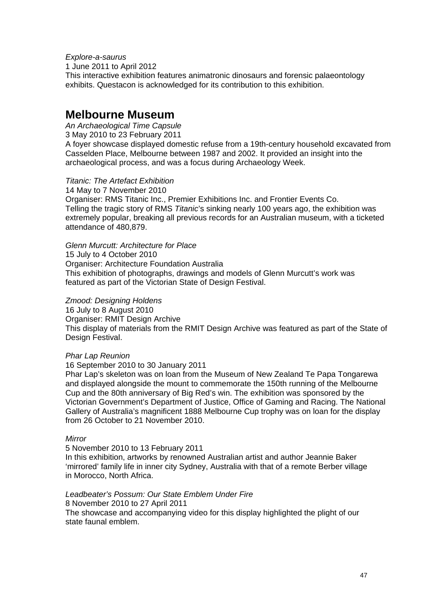*Explore-a-saurus*  1 June 2011 to April 2012 This interactive exhibition features animatronic dinosaurs and forensic palaeontology exhibits. Questacon is acknowledged for its contribution to this exhibition.

### **Melbourne Museum**

*An Archaeological Time Capsule*  3 May 2010 to 23 February 2011 A foyer showcase displayed domestic refuse from a 19th-century household excavated from Casselden Place, Melbourne between 1987 and 2002. It provided an insight into the archaeological process, and was a focus during Archaeology Week.

### *Titanic: The Artefact Exhibition*

14 May to 7 November 2010 Organiser: RMS Titanic Inc., Premier Exhibitions Inc. and Frontier Events Co. Telling the tragic story of RMS *Titanic*'s sinking nearly 100 years ago, the exhibition was extremely popular, breaking all previous records for an Australian museum, with a ticketed attendance of 480,879.

*Glenn Murcutt: Architecture for Place* 15 July to 4 October 2010 Organiser: Architecture Foundation Australia This exhibition of photographs, drawings and models of Glenn Murcutt's work was featured as part of the Victorian State of Design Festival.

### *Zmood: Designing Holdens*

16 July to 8 August 2010 Organiser: RMIT Design Archive This display of materials from the RMIT Design Archive was featured as part of the State of Design Festival.

### *Phar Lap Reunion*

16 September 2010 to 30 January 2011

Phar Lap's skeleton was on loan from the Museum of New Zealand Te Papa Tongarewa and displayed alongside the mount to commemorate the 150th running of the Melbourne Cup and the 80th anniversary of Big Red's win. The exhibition was sponsored by the Victorian Government's Department of Justice, Office of Gaming and Racing. The National Gallery of Australia's magnificent 1888 Melbourne Cup trophy was on loan for the display from 26 October to 21 November 2010.

### *Mirror*

### 5 November 2010 to 13 February 2011

In this exhibition, artworks by renowned Australian artist and author Jeannie Baker 'mirrored' family life in inner city Sydney, Australia with that of a remote Berber village in Morocco, North Africa.

### *Leadbeater's Possum: Our State Emblem Under Fire*

8 November 2010 to 27 April 2011

The showcase and accompanying video for this display highlighted the plight of our state faunal emblem.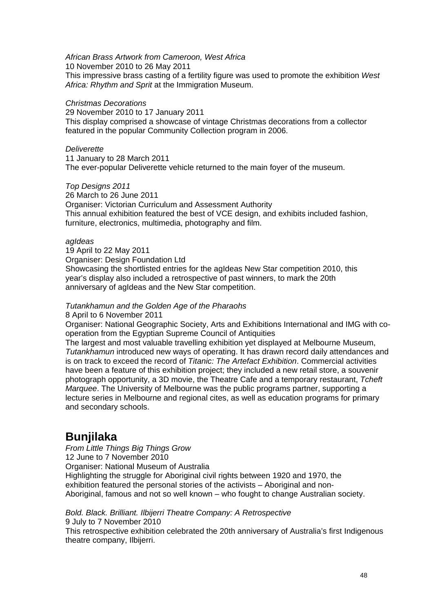*African Brass Artwork from Cameroon, West Africa*

10 November 2010 to 26 May 2011

This impressive brass casting of a fertility figure was used to promote the exhibition *West Africa: Rhythm and Sprit* at the Immigration Museum.

#### *Christmas Decorations*

29 November 2010 to 17 January 2011

This display comprised a showcase of vintage Christmas decorations from a collector featured in the popular Community Collection program in 2006.

#### *Deliverette*

11 January to 28 March 2011 The ever-popular Deliverette vehicle returned to the main foyer of the museum.

*Top Designs 2011* 

26 March to 26 June 2011 Organiser: Victorian Curriculum and Assessment Authority This annual exhibition featured the best of VCE design, and exhibits included fashion, furniture, electronics, multimedia, photography and film.

### *agIdeas*

19 April to 22 May 2011 Organiser: Design Foundation Ltd Showcasing the shortlisted entries for the agIdeas New Star competition 2010, this year's display also included a retrospective of past winners, to mark the 20th anniversary of agIdeas and the New Star competition.

### *Tutankhamun and the Golden Age of the Pharaohs*

8 April to 6 November 2011

Organiser: National Geographic Society, Arts and Exhibitions International and IMG with cooperation from the Egyptian Supreme Council of Antiquities

The largest and most valuable travelling exhibition yet displayed at Melbourne Museum, *Tutankhamun* introduced new ways of operating. It has drawn record daily attendances and is on track to exceed the record of *Titanic: The Artefact Exhibition*. Commercial activities have been a feature of this exhibition project; they included a new retail store, a souvenir photograph opportunity, a 3D movie, the Theatre Cafe and a temporary restaurant, *Tcheft Marquee*. The University of Melbourne was the public programs partner, supporting a lecture series in Melbourne and regional cites, as well as education programs for primary and secondary schools.

### **Bunjilaka**

*From Little Things Big Things Grow*  12 June to 7 November 2010 Organiser: National Museum of Australia Highlighting the struggle for Aboriginal civil rights between 1920 and 1970, the exhibition featured the personal stories of the activists – Aboriginal and non-Aboriginal, famous and not so well known – who fought to change Australian society.

*Bold. Black. Brilliant. Ilbijerri Theatre Company: A Retrospective* 9 July to 7 November 2010

This retrospective exhibition celebrated the 20th anniversary of Australia's first Indigenous theatre company, Ilbijerri.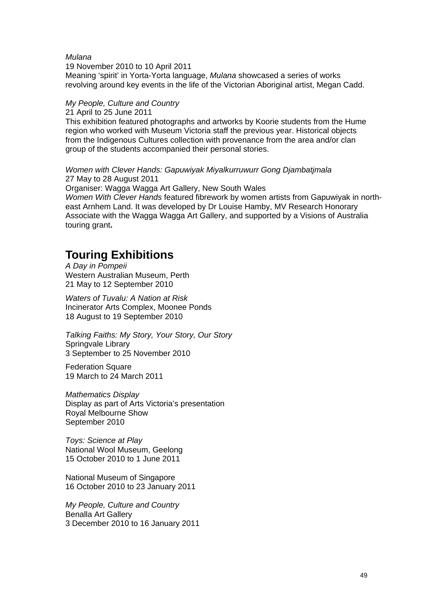#### *Mulana*

19 November 2010 to 10 April 2011 Meaning 'spirit' in Yorta-Yorta language, *Mulana* showcased a series of works revolving around key events in the life of the Victorian Aboriginal artist, Megan Cadd.

### *My People, Culture and Country*

21 April to 25 June 2011

This exhibition featured photographs and artworks by Koorie students from the Hume region who worked with Museum Victoria staff the previous year. Historical objects from the Indigenous Cultures collection with provenance from the area and/or clan group of the students accompanied their personal stories.

*Women with Clever Hands: Gapuwiyak Miyalkurruwurr Gong Djambatjmala* 27 May to 28 August 2011

Organiser: Wagga Wagga Art Gallery, New South Wales *Women With Clever Hands* featured fibrework by women artists from Gapuwiyak in northeast Arnhem Land. It was developed by Dr Louise Hamby, MV Research Honorary Associate with the Wagga Wagga Art Gallery, and supported by a Visions of Australia touring grant**.**

### **Touring Exhibitions**

*A Day in Pompeii* Western Australian Museum, Perth 21 May to 12 September 2010

*Waters of Tuvalu: A Nation at Risk* Incinerator Arts Complex, Moonee Ponds 18 August to 19 September 2010

*Talking Faiths: My Story, Your Story, Our Story* Springvale Library 3 September to 25 November 2010

Federation Square 19 March to 24 March 2011

*Mathematics Display* Display as part of Arts Victoria's presentation Royal Melbourne Show September 2010

*Toys: Science at Play* National Wool Museum, Geelong 15 October 2010 to 1 June 2011

National Museum of Singapore 16 October 2010 to 23 January 2011

*My People, Culture and Country* Benalla Art Gallery 3 December 2010 to 16 January 2011